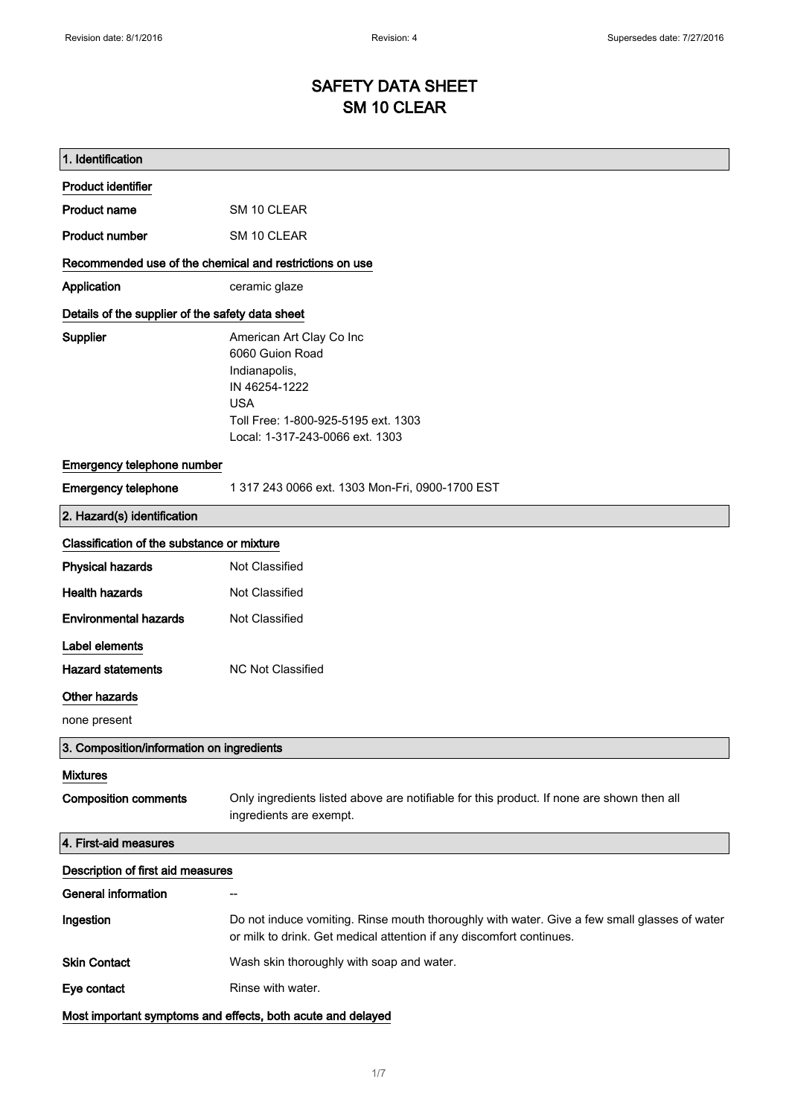# SAFETY DATA SHEET SM 10 CLEAR

| 1. Identification                                       |                                                                                                                                                                       |
|---------------------------------------------------------|-----------------------------------------------------------------------------------------------------------------------------------------------------------------------|
| <b>Product identifier</b>                               |                                                                                                                                                                       |
| <b>Product name</b>                                     | SM 10 CLEAR                                                                                                                                                           |
| <b>Product number</b>                                   | SM 10 CLEAR                                                                                                                                                           |
| Recommended use of the chemical and restrictions on use |                                                                                                                                                                       |
| Application                                             | ceramic glaze                                                                                                                                                         |
| Details of the supplier of the safety data sheet        |                                                                                                                                                                       |
| Supplier                                                | American Art Clay Co Inc<br>6060 Guion Road<br>Indianapolis,<br>IN 46254-1222<br><b>USA</b><br>Toll Free: 1-800-925-5195 ext. 1303<br>Local: 1-317-243-0066 ext. 1303 |
| Emergency telephone number                              |                                                                                                                                                                       |
| <b>Emergency telephone</b>                              | 1 317 243 0066 ext. 1303 Mon-Fri, 0900-1700 EST                                                                                                                       |
| 2. Hazard(s) identification                             |                                                                                                                                                                       |
| Classification of the substance or mixture              |                                                                                                                                                                       |
| <b>Physical hazards</b>                                 | Not Classified                                                                                                                                                        |
| <b>Health hazards</b>                                   | Not Classified                                                                                                                                                        |
| <b>Environmental hazards</b>                            | Not Classified                                                                                                                                                        |
| Label elements                                          |                                                                                                                                                                       |
| <b>Hazard statements</b>                                | <b>NC Not Classified</b>                                                                                                                                              |
| Other hazards                                           |                                                                                                                                                                       |
| none present                                            |                                                                                                                                                                       |
| 3. Composition/information on ingredients               |                                                                                                                                                                       |
| <b>Mixtures</b>                                         |                                                                                                                                                                       |
| <b>Composition comments</b>                             | Only ingredients listed above are notifiable for this product. If none are shown then all<br>ingredients are exempt.                                                  |
| 4. First-aid measures                                   |                                                                                                                                                                       |
| Description of first aid measures                       |                                                                                                                                                                       |
| <b>General information</b>                              |                                                                                                                                                                       |
| Ingestion                                               | Do not induce vomiting. Rinse mouth thoroughly with water. Give a few small glasses of water<br>or milk to drink. Get medical attention if any discomfort continues.  |
| <b>Skin Contact</b>                                     | Wash skin thoroughly with soap and water.                                                                                                                             |
| Eye contact                                             | Rinse with water.                                                                                                                                                     |
|                                                         | Most important symptoms and effects, both acute and delayed                                                                                                           |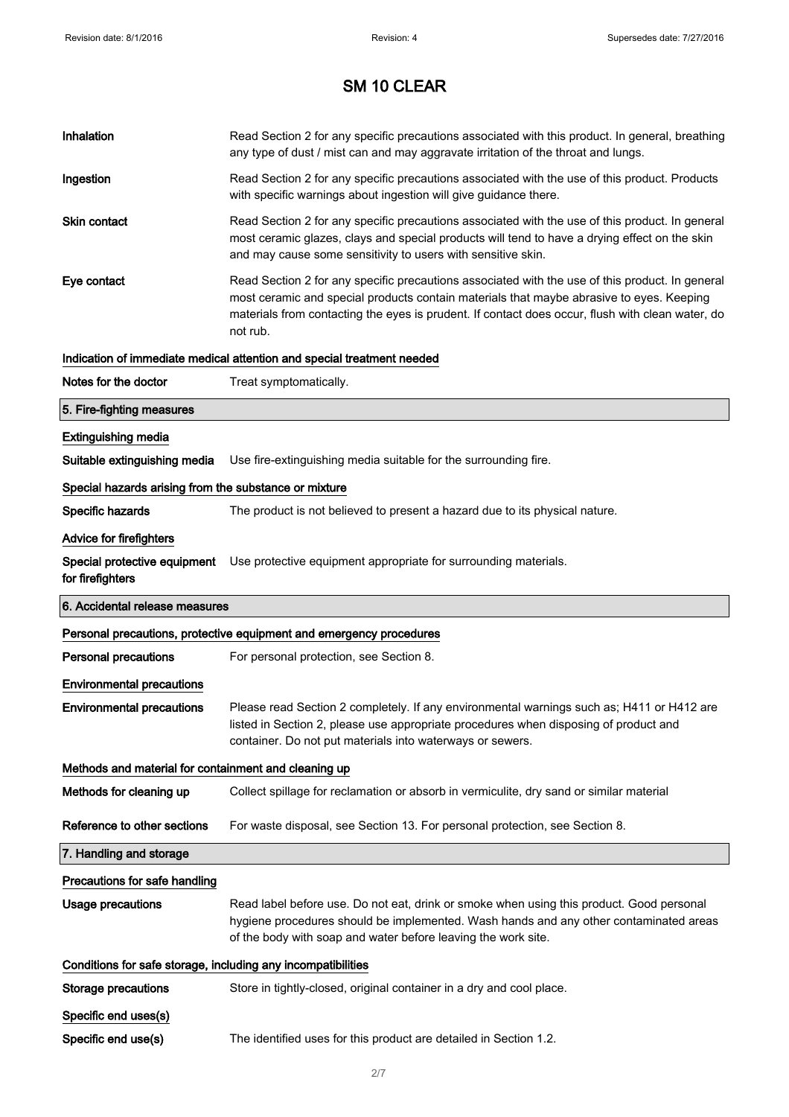| Inhalation                                                   | Read Section 2 for any specific precautions associated with this product. In general, breathing<br>any type of dust / mist can and may aggravate irritation of the throat and lungs.                                                                                                                        |
|--------------------------------------------------------------|-------------------------------------------------------------------------------------------------------------------------------------------------------------------------------------------------------------------------------------------------------------------------------------------------------------|
| Ingestion                                                    | Read Section 2 for any specific precautions associated with the use of this product. Products<br>with specific warnings about ingestion will give guidance there.                                                                                                                                           |
| Skin contact                                                 | Read Section 2 for any specific precautions associated with the use of this product. In general<br>most ceramic glazes, clays and special products will tend to have a drying effect on the skin<br>and may cause some sensitivity to users with sensitive skin.                                            |
| Eye contact                                                  | Read Section 2 for any specific precautions associated with the use of this product. In general<br>most ceramic and special products contain materials that maybe abrasive to eyes. Keeping<br>materials from contacting the eyes is prudent. If contact does occur, flush with clean water, do<br>not rub. |
|                                                              | Indication of immediate medical attention and special treatment needed                                                                                                                                                                                                                                      |
| Notes for the doctor                                         | Treat symptomatically.                                                                                                                                                                                                                                                                                      |
| 5. Fire-fighting measures                                    |                                                                                                                                                                                                                                                                                                             |
| <b>Extinguishing media</b>                                   |                                                                                                                                                                                                                                                                                                             |
| Suitable extinguishing media                                 | Use fire-extinguishing media suitable for the surrounding fire.                                                                                                                                                                                                                                             |
| Special hazards arising from the substance or mixture        |                                                                                                                                                                                                                                                                                                             |
| Specific hazards                                             | The product is not believed to present a hazard due to its physical nature.                                                                                                                                                                                                                                 |
| Advice for firefighters                                      |                                                                                                                                                                                                                                                                                                             |
| Special protective equipment<br>for firefighters             | Use protective equipment appropriate for surrounding materials.                                                                                                                                                                                                                                             |
|                                                              |                                                                                                                                                                                                                                                                                                             |
| 6. Accidental release measures                               |                                                                                                                                                                                                                                                                                                             |
|                                                              | Personal precautions, protective equipment and emergency procedures                                                                                                                                                                                                                                         |
| <b>Personal precautions</b>                                  | For personal protection, see Section 8.                                                                                                                                                                                                                                                                     |
| <b>Environmental precautions</b>                             |                                                                                                                                                                                                                                                                                                             |
| <b>Environmental precautions</b>                             | Please read Section 2 completely. If any environmental warnings such as; H411 or H412 are<br>listed in Section 2, please use appropriate procedures when disposing of product and<br>container. Do not put materials into waterways or sewers.                                                              |
| Methods and material for containment and cleaning up         |                                                                                                                                                                                                                                                                                                             |
| Methods for cleaning up                                      | Collect spillage for reclamation or absorb in vermiculite, dry sand or similar material                                                                                                                                                                                                                     |
| Reference to other sections                                  | For waste disposal, see Section 13. For personal protection, see Section 8.                                                                                                                                                                                                                                 |
| 7. Handling and storage                                      |                                                                                                                                                                                                                                                                                                             |
| Precautions for safe handling                                |                                                                                                                                                                                                                                                                                                             |
| <b>Usage precautions</b>                                     | Read label before use. Do not eat, drink or smoke when using this product. Good personal<br>hygiene procedures should be implemented. Wash hands and any other contaminated areas<br>of the body with soap and water before leaving the work site.                                                          |
| Conditions for safe storage, including any incompatibilities |                                                                                                                                                                                                                                                                                                             |
| <b>Storage precautions</b>                                   | Store in tightly-closed, original container in a dry and cool place.                                                                                                                                                                                                                                        |
| Specific end uses(s)                                         |                                                                                                                                                                                                                                                                                                             |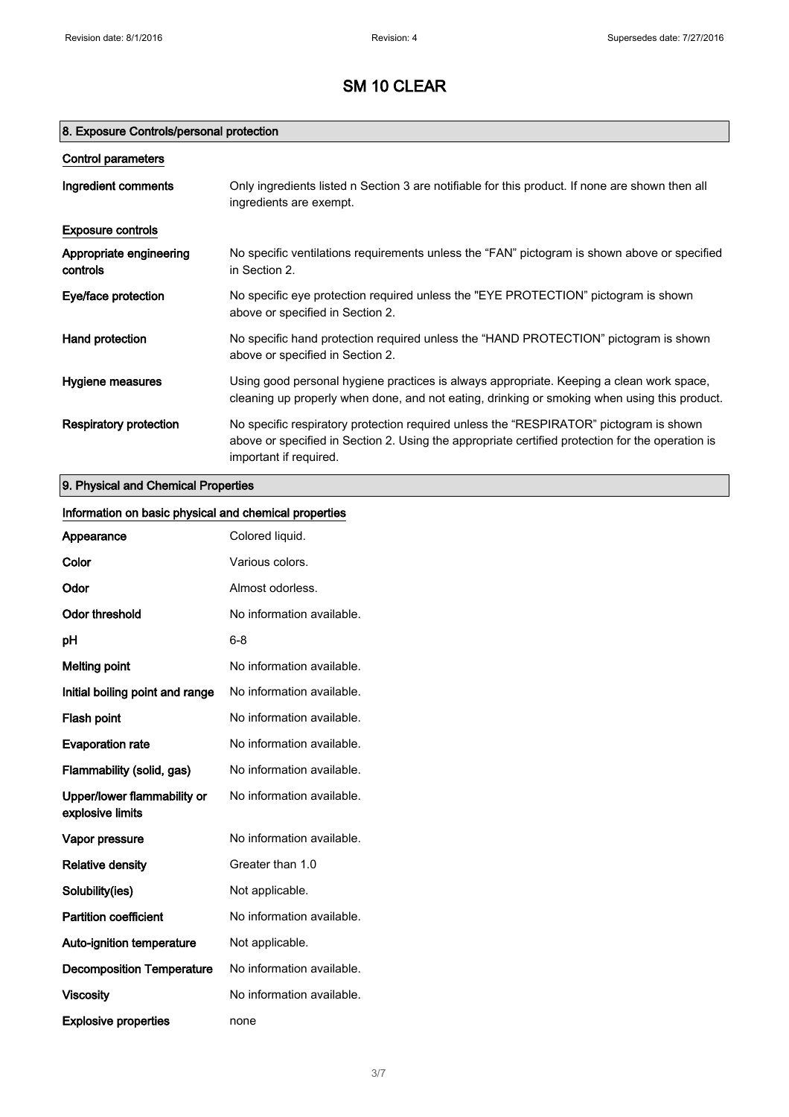## 8. Exposure Controls/personal protection

| Control parameters                  |                                                                                                                                                                                                                      |
|-------------------------------------|----------------------------------------------------------------------------------------------------------------------------------------------------------------------------------------------------------------------|
| Ingredient comments                 | Only ingredients listed n Section 3 are notifiable for this product. If none are shown then all<br>ingredients are exempt.                                                                                           |
| <b>Exposure controls</b>            |                                                                                                                                                                                                                      |
| Appropriate engineering<br>controls | No specific ventilations requirements unless the "FAN" pictogram is shown above or specified<br>in Section 2.                                                                                                        |
| Eye/face protection                 | No specific eye protection required unless the "EYE PROTECTION" pictogram is shown<br>above or specified in Section 2.                                                                                               |
| Hand protection                     | No specific hand protection required unless the "HAND PROTECTION" pictogram is shown<br>above or specified in Section 2.                                                                                             |
| Hygiene measures                    | Using good personal hygiene practices is always appropriate. Keeping a clean work space,<br>cleaning up properly when done, and not eating, drinking or smoking when using this product.                             |
| Respiratory protection              | No specific respiratory protection required unless the "RESPIRATOR" pictogram is shown<br>above or specified in Section 2. Using the appropriate certified protection for the operation is<br>important if required. |

# 9. Physical and Chemical Properties

| Information on basic physical and chemical properties |                           |
|-------------------------------------------------------|---------------------------|
| Appearance                                            | Colored liquid.           |
| Color                                                 | Various colors.           |
| Odor                                                  | Almost odorless.          |
| <b>Odor threshold</b>                                 | No information available. |
| рH                                                    | $6 - 8$                   |
| <b>Melting point</b>                                  | No information available. |
| Initial boiling point and range                       | No information available. |
| Flash point                                           | No information available. |
| <b>Evaporation rate</b>                               | No information available. |
| Flammability (solid, gas)                             | No information available. |
| Upper/lower flammability or<br>explosive limits       | No information available. |
| Vapor pressure                                        | No information available. |
| <b>Relative density</b>                               | Greater than 1.0          |
| Solubility(ies)                                       | Not applicable.           |
| <b>Partition coefficient</b>                          | No information available. |
| Auto-ignition temperature                             | Not applicable.           |
| <b>Decomposition Temperature</b>                      | No information available. |
| <b>Viscosity</b>                                      | No information available. |
| <b>Explosive properties</b>                           | none                      |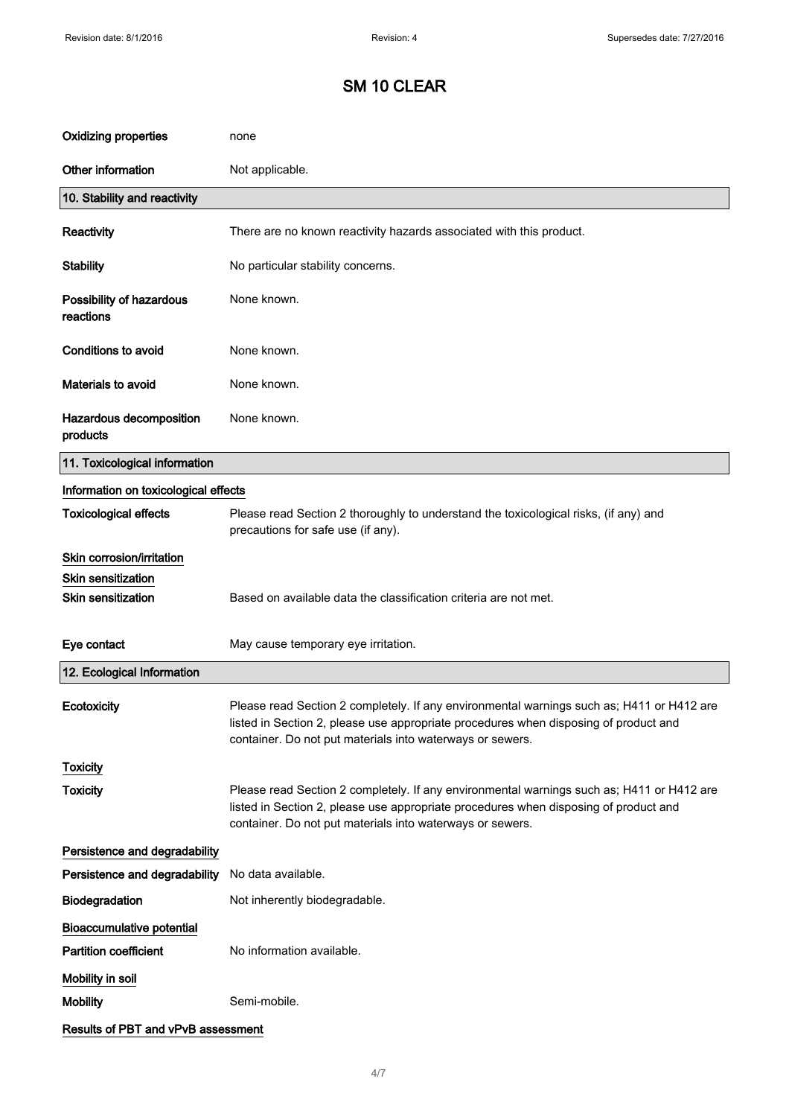| <b>Oxidizing properties</b>           | none                                                                                                                                                                                                                                           |
|---------------------------------------|------------------------------------------------------------------------------------------------------------------------------------------------------------------------------------------------------------------------------------------------|
| Other information                     | Not applicable.                                                                                                                                                                                                                                |
| 10. Stability and reactivity          |                                                                                                                                                                                                                                                |
| Reactivity                            | There are no known reactivity hazards associated with this product.                                                                                                                                                                            |
| <b>Stability</b>                      | No particular stability concerns.                                                                                                                                                                                                              |
| Possibility of hazardous<br>reactions | None known.                                                                                                                                                                                                                                    |
| <b>Conditions to avoid</b>            | None known.                                                                                                                                                                                                                                    |
| Materials to avoid                    | None known.                                                                                                                                                                                                                                    |
| Hazardous decomposition<br>products   | None known.                                                                                                                                                                                                                                    |
| 11. Toxicological information         |                                                                                                                                                                                                                                                |
| Information on toxicological effects  |                                                                                                                                                                                                                                                |
| <b>Toxicological effects</b>          | Please read Section 2 thoroughly to understand the toxicological risks, (if any) and<br>precautions for safe use (if any).                                                                                                                     |
| Skin corrosion/irritation             |                                                                                                                                                                                                                                                |
| <b>Skin sensitization</b>             |                                                                                                                                                                                                                                                |
| Skin sensitization                    | Based on available data the classification criteria are not met.                                                                                                                                                                               |
| Eye contact                           | May cause temporary eye irritation.                                                                                                                                                                                                            |
| 12. Ecological Information            |                                                                                                                                                                                                                                                |
| Ecotoxicity                           | Please read Section 2 completely. If any environmental warnings such as; H411 or H412 are<br>listed in Section 2, please use appropriate procedures when disposing of product and<br>container. Do not put materials into waterways or sewers. |
| <b>Toxicity</b>                       |                                                                                                                                                                                                                                                |
| <b>Toxicity</b>                       | Please read Section 2 completely. If any environmental warnings such as; H411 or H412 are<br>listed in Section 2, please use appropriate procedures when disposing of product and<br>container. Do not put materials into waterways or sewers. |
| Persistence and degradability         |                                                                                                                                                                                                                                                |
| Persistence and degradability         | No data available.                                                                                                                                                                                                                             |
| Biodegradation                        | Not inherently biodegradable.                                                                                                                                                                                                                  |
| <b>Bioaccumulative potential</b>      |                                                                                                                                                                                                                                                |
| <b>Partition coefficient</b>          | No information available.                                                                                                                                                                                                                      |
| Mobility in soil                      |                                                                                                                                                                                                                                                |
| <b>Mobility</b>                       | Semi-mobile.                                                                                                                                                                                                                                   |
| Results of PBT and vPvB assessment    |                                                                                                                                                                                                                                                |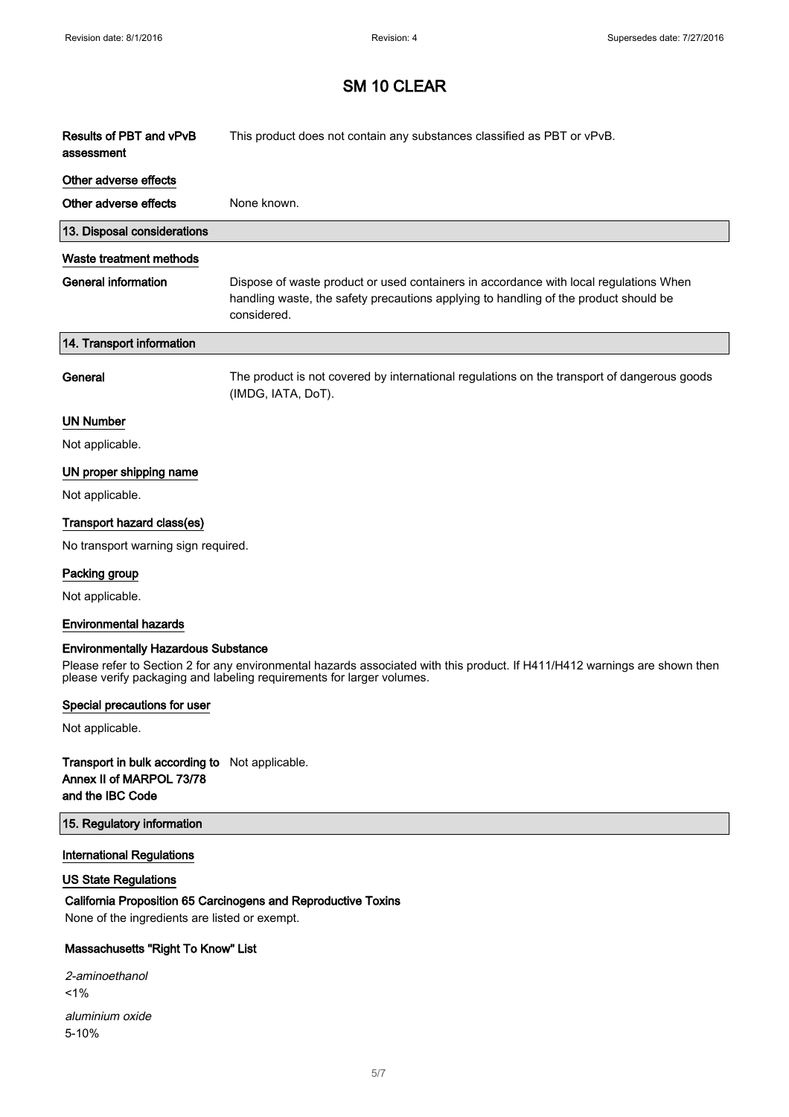| Results of PBT and vPvB<br>assessment      | This product does not contain any substances classified as PBT or vPvB.                                                                                                                      |
|--------------------------------------------|----------------------------------------------------------------------------------------------------------------------------------------------------------------------------------------------|
| Other adverse effects                      |                                                                                                                                                                                              |
| Other adverse effects                      | None known.                                                                                                                                                                                  |
| 13. Disposal considerations                |                                                                                                                                                                                              |
| Waste treatment methods                    |                                                                                                                                                                                              |
| <b>General information</b>                 | Dispose of waste product or used containers in accordance with local regulations When<br>handling waste, the safety precautions applying to handling of the product should be<br>considered. |
| 14. Transport information                  |                                                                                                                                                                                              |
| General                                    | The product is not covered by international regulations on the transport of dangerous goods<br>(IMDG, IATA, DoT).                                                                            |
| <b>UN Number</b>                           |                                                                                                                                                                                              |
| Not applicable.                            |                                                                                                                                                                                              |
| UN proper shipping name                    |                                                                                                                                                                                              |
| Not applicable.                            |                                                                                                                                                                                              |
| Transport hazard class(es)                 |                                                                                                                                                                                              |
| No transport warning sign required.        |                                                                                                                                                                                              |
| Packing group                              |                                                                                                                                                                                              |
| Not applicable.                            |                                                                                                                                                                                              |
| <b>Environmental hazards</b>               |                                                                                                                                                                                              |
| <b>Environmentally Hazardous Substance</b> |                                                                                                                                                                                              |

Please refer to Section 2 for any environmental hazards associated with this product. If H411/H412 warnings are shown then please verify packaging and labeling requirements for larger volumes.

#### Special precautions for user

Not applicable.

### Transport in bulk according to Not applicable. Annex II of MARPOL 73/78 and the IBC Code

#### 15. Regulatory information

#### International Regulations

### US State Regulations

## California Proposition 65 Carcinogens and Reproductive Toxins

None of the ingredients are listed or exempt.

### Massachusetts "Right To Know" List

| 2-aminoethanol  |
|-----------------|
| $1\%$           |
|                 |
| aluminium oxide |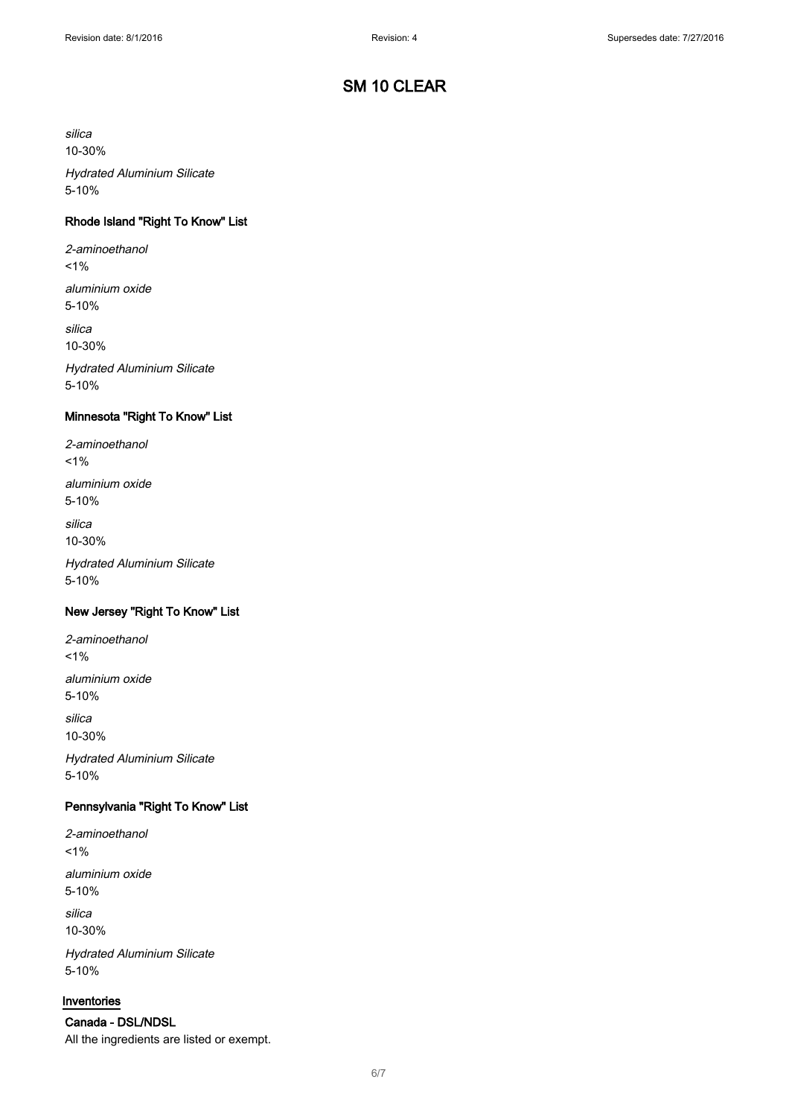silica 10-30%

Hydrated Aluminium Silicate 5-10%

### Rhode Island "Right To Know" List

2-aminoethanol  $1%$ 

aluminium oxide 5-10%

silica

10-30%

Hydrated Aluminium Silicate 5-10%

## Minnesota "Right To Know" List

2-aminoethanol  $1%$ aluminium oxide 5-10%

silica 10-30%

Hydrated Aluminium Silicate 5-10%

#### New Jersey "Right To Know" List

2-aminoethanol  $1%$ aluminium oxide 5-10%

silica 10-30%

Hydrated Aluminium Silicate 5-10%

### Pennsylvania "Right To Know" List

2-aminoethanol  $1%$ aluminium oxide 5-10%

silica 10-30%

Hydrated Aluminium Silicate 5-10%

#### Inventories

Canada - DSL/NDSL All the ingredients are listed or exempt.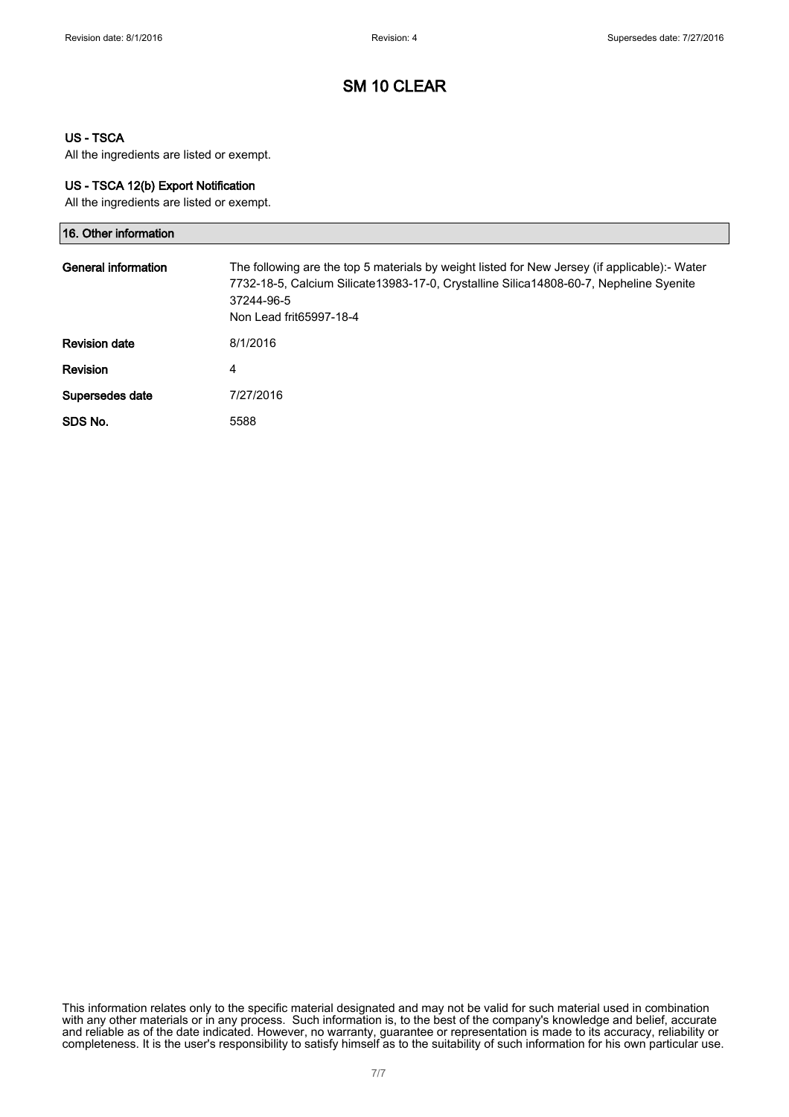### US - TSCA

All the ingredients are listed or exempt.

#### US - TSCA 12(b) Export Notification

All the ingredients are listed or exempt.

| 16. Other information |                                                                                                                                                                                                                                  |
|-----------------------|----------------------------------------------------------------------------------------------------------------------------------------------------------------------------------------------------------------------------------|
| General information   | The following are the top 5 materials by weight listed for New Jersey (if applicable):- Water<br>7732-18-5, Calcium Silicate13983-17-0, Crystalline Silica14808-60-7, Nepheline Syenite<br>37244-96-5<br>Non Lead frit65997-18-4 |
| <b>Revision date</b>  | 8/1/2016                                                                                                                                                                                                                         |
| <b>Revision</b>       | 4                                                                                                                                                                                                                                |
| Supersedes date       | 7/27/2016                                                                                                                                                                                                                        |
| SDS No.               | 5588                                                                                                                                                                                                                             |

This information relates only to the specific material designated and may not be valid for such material used in combination with any other materials or in any process. Such information is, to the best of the company's knowledge and belief, accurate and reliable as of the date indicated. However, no warranty, guarantee or representation is made to its accuracy, reliability or completeness. It is the user's responsibility to satisfy himself as to the suitability of such information for his own particular use.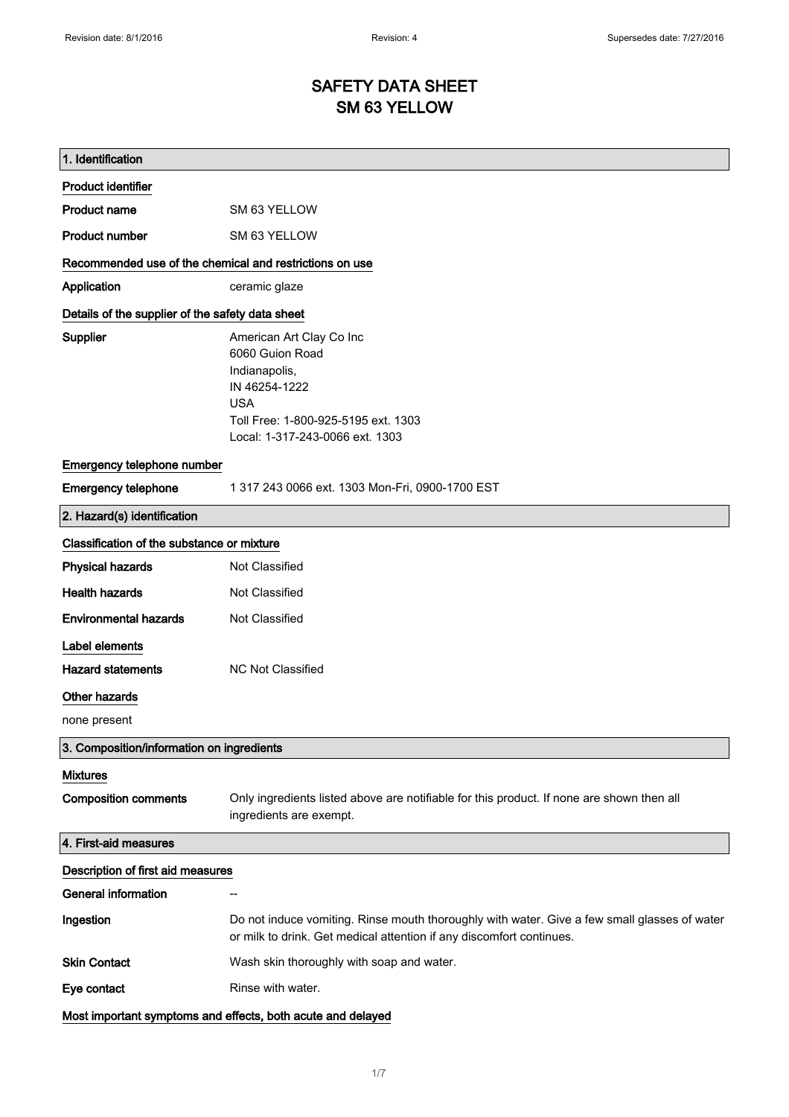# SAFETY DATA SHEET SM 63 YELLOW

| 1. Identification                                       |                                                                                                                                                                       |
|---------------------------------------------------------|-----------------------------------------------------------------------------------------------------------------------------------------------------------------------|
| <b>Product identifier</b>                               |                                                                                                                                                                       |
| <b>Product name</b>                                     | SM 63 YELLOW                                                                                                                                                          |
| <b>Product number</b>                                   | SM 63 YELLOW                                                                                                                                                          |
| Recommended use of the chemical and restrictions on use |                                                                                                                                                                       |
| Application                                             | ceramic glaze                                                                                                                                                         |
| Details of the supplier of the safety data sheet        |                                                                                                                                                                       |
| Supplier                                                | American Art Clay Co Inc<br>6060 Guion Road<br>Indianapolis,<br>IN 46254-1222<br><b>USA</b><br>Toll Free: 1-800-925-5195 ext. 1303<br>Local: 1-317-243-0066 ext. 1303 |
| Emergency telephone number                              |                                                                                                                                                                       |
| <b>Emergency telephone</b>                              | 1 317 243 0066 ext. 1303 Mon-Fri, 0900-1700 EST                                                                                                                       |
| 2. Hazard(s) identification                             |                                                                                                                                                                       |
| Classification of the substance or mixture              |                                                                                                                                                                       |
| <b>Physical hazards</b>                                 | Not Classified                                                                                                                                                        |
| <b>Health hazards</b>                                   | Not Classified                                                                                                                                                        |
| <b>Environmental hazards</b>                            | Not Classified                                                                                                                                                        |
| Label elements                                          |                                                                                                                                                                       |
| <b>Hazard statements</b>                                | <b>NC Not Classified</b>                                                                                                                                              |
| Other hazards                                           |                                                                                                                                                                       |
| none present                                            |                                                                                                                                                                       |
| 3. Composition/information on ingredients               |                                                                                                                                                                       |
| <b>Mixtures</b>                                         |                                                                                                                                                                       |
| <b>Composition comments</b>                             | Only ingredients listed above are notifiable for this product. If none are shown then all<br>ingredients are exempt.                                                  |
| 4. First-aid measures                                   |                                                                                                                                                                       |
| Description of first aid measures                       |                                                                                                                                                                       |
| <b>General information</b>                              |                                                                                                                                                                       |
| Ingestion                                               | Do not induce vomiting. Rinse mouth thoroughly with water. Give a few small glasses of water<br>or milk to drink. Get medical attention if any discomfort continues.  |
| <b>Skin Contact</b>                                     | Wash skin thoroughly with soap and water.                                                                                                                             |
| Eye contact                                             | Rinse with water.                                                                                                                                                     |
|                                                         | Most important symptoms and effects, both acute and delayed                                                                                                           |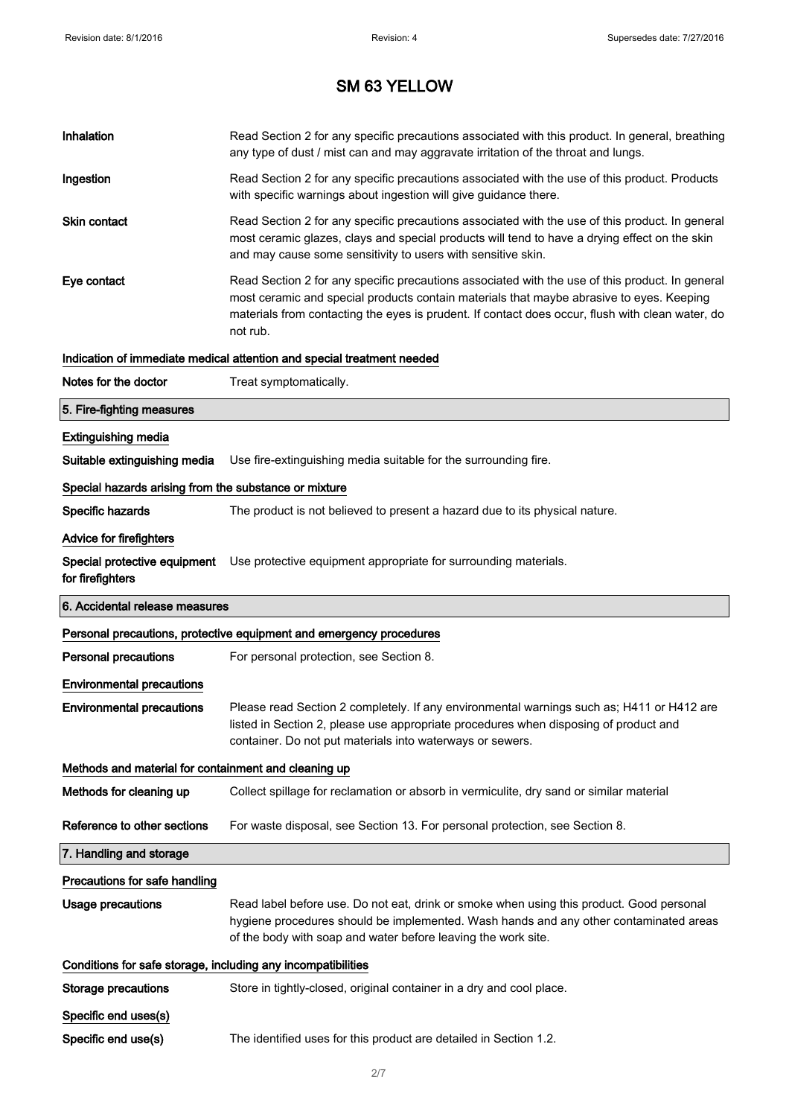| Inhalation                                                   | Read Section 2 for any specific precautions associated with this product. In general, breathing<br>any type of dust / mist can and may aggravate irritation of the throat and lungs.                                                                                                                        |
|--------------------------------------------------------------|-------------------------------------------------------------------------------------------------------------------------------------------------------------------------------------------------------------------------------------------------------------------------------------------------------------|
| Ingestion                                                    | Read Section 2 for any specific precautions associated with the use of this product. Products<br>with specific warnings about ingestion will give guidance there.                                                                                                                                           |
| <b>Skin contact</b>                                          | Read Section 2 for any specific precautions associated with the use of this product. In general<br>most ceramic glazes, clays and special products will tend to have a drying effect on the skin<br>and may cause some sensitivity to users with sensitive skin.                                            |
| Eye contact                                                  | Read Section 2 for any specific precautions associated with the use of this product. In general<br>most ceramic and special products contain materials that maybe abrasive to eyes. Keeping<br>materials from contacting the eyes is prudent. If contact does occur, flush with clean water, do<br>not rub. |
|                                                              | Indication of immediate medical attention and special treatment needed                                                                                                                                                                                                                                      |
| Notes for the doctor                                         | Treat symptomatically.                                                                                                                                                                                                                                                                                      |
| 5. Fire-fighting measures                                    |                                                                                                                                                                                                                                                                                                             |
| <b>Extinguishing media</b>                                   |                                                                                                                                                                                                                                                                                                             |
| Suitable extinguishing media                                 | Use fire-extinguishing media suitable for the surrounding fire.                                                                                                                                                                                                                                             |
| Special hazards arising from the substance or mixture        |                                                                                                                                                                                                                                                                                                             |
| Specific hazards                                             | The product is not believed to present a hazard due to its physical nature.                                                                                                                                                                                                                                 |
| Advice for firefighters                                      |                                                                                                                                                                                                                                                                                                             |
| Special protective equipment<br>for firefighters             | Use protective equipment appropriate for surrounding materials.                                                                                                                                                                                                                                             |
|                                                              |                                                                                                                                                                                                                                                                                                             |
| 6. Accidental release measures                               |                                                                                                                                                                                                                                                                                                             |
|                                                              | Personal precautions, protective equipment and emergency procedures                                                                                                                                                                                                                                         |
| <b>Personal precautions</b>                                  | For personal protection, see Section 8.                                                                                                                                                                                                                                                                     |
| <b>Environmental precautions</b>                             |                                                                                                                                                                                                                                                                                                             |
| <b>Environmental precautions</b>                             | Please read Section 2 completely. If any environmental warnings such as; H411 or H412 are<br>listed in Section 2, please use appropriate procedures when disposing of product and<br>container. Do not put materials into waterways or sewers.                                                              |
| Methods and material for containment and cleaning up         |                                                                                                                                                                                                                                                                                                             |
| Methods for cleaning up                                      | Collect spillage for reclamation or absorb in vermiculite, dry sand or similar material                                                                                                                                                                                                                     |
| Reference to other sections                                  | For waste disposal, see Section 13. For personal protection, see Section 8.                                                                                                                                                                                                                                 |
| 7. Handling and storage                                      |                                                                                                                                                                                                                                                                                                             |
| Precautions for safe handling                                |                                                                                                                                                                                                                                                                                                             |
| <b>Usage precautions</b>                                     | Read label before use. Do not eat, drink or smoke when using this product. Good personal<br>hygiene procedures should be implemented. Wash hands and any other contaminated areas<br>of the body with soap and water before leaving the work site.                                                          |
| Conditions for safe storage, including any incompatibilities |                                                                                                                                                                                                                                                                                                             |
| <b>Storage precautions</b>                                   | Store in tightly-closed, original container in a dry and cool place.                                                                                                                                                                                                                                        |
| Specific end uses(s)                                         |                                                                                                                                                                                                                                                                                                             |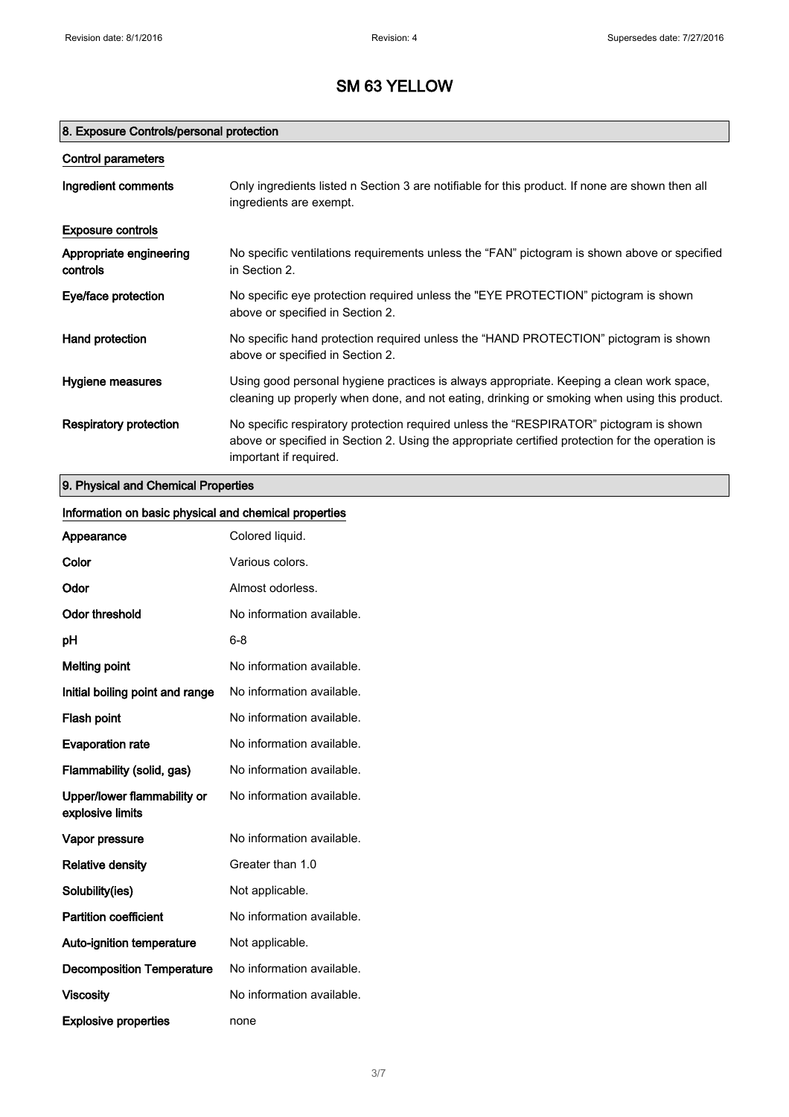## 8. Exposure Controls/personal protection

| Control parameters                  |                                                                                                                                                                                                                      |
|-------------------------------------|----------------------------------------------------------------------------------------------------------------------------------------------------------------------------------------------------------------------|
| Ingredient comments                 | Only ingredients listed n Section 3 are notifiable for this product. If none are shown then all<br>ingredients are exempt.                                                                                           |
| <b>Exposure controls</b>            |                                                                                                                                                                                                                      |
| Appropriate engineering<br>controls | No specific ventilations requirements unless the "FAN" pictogram is shown above or specified<br>in Section 2.                                                                                                        |
| Eye/face protection                 | No specific eye protection required unless the "EYE PROTECTION" pictogram is shown<br>above or specified in Section 2.                                                                                               |
| Hand protection                     | No specific hand protection required unless the "HAND PROTECTION" pictogram is shown<br>above or specified in Section 2.                                                                                             |
| Hygiene measures                    | Using good personal hygiene practices is always appropriate. Keeping a clean work space,<br>cleaning up properly when done, and not eating, drinking or smoking when using this product.                             |
| Respiratory protection              | No specific respiratory protection required unless the "RESPIRATOR" pictogram is shown<br>above or specified in Section 2. Using the appropriate certified protection for the operation is<br>important if required. |

## 9. Physical and Chemical Properties

| Information on basic physical and chemical properties |                           |
|-------------------------------------------------------|---------------------------|
| Appearance                                            | Colored liquid.           |
| Color                                                 | Various colors.           |
| Odor                                                  | Almost odorless.          |
| <b>Odor threshold</b>                                 | No information available. |
| pH                                                    | $6 - 8$                   |
| <b>Melting point</b>                                  | No information available. |
| Initial boiling point and range                       | No information available. |
| Flash point                                           | No information available. |
| <b>Evaporation rate</b>                               | No information available. |
| Flammability (solid, gas)                             | No information available. |
| Upper/lower flammability or<br>explosive limits       | No information available. |
| Vapor pressure                                        | No information available. |
| <b>Relative density</b>                               | Greater than 1.0          |
| Solubility(ies)                                       | Not applicable.           |
| <b>Partition coefficient</b>                          | No information available. |
| Auto-ignition temperature                             | Not applicable.           |
| <b>Decomposition Temperature</b>                      | No information available. |
| <b>Viscosity</b>                                      | No information available. |
| <b>Explosive properties</b>                           | none                      |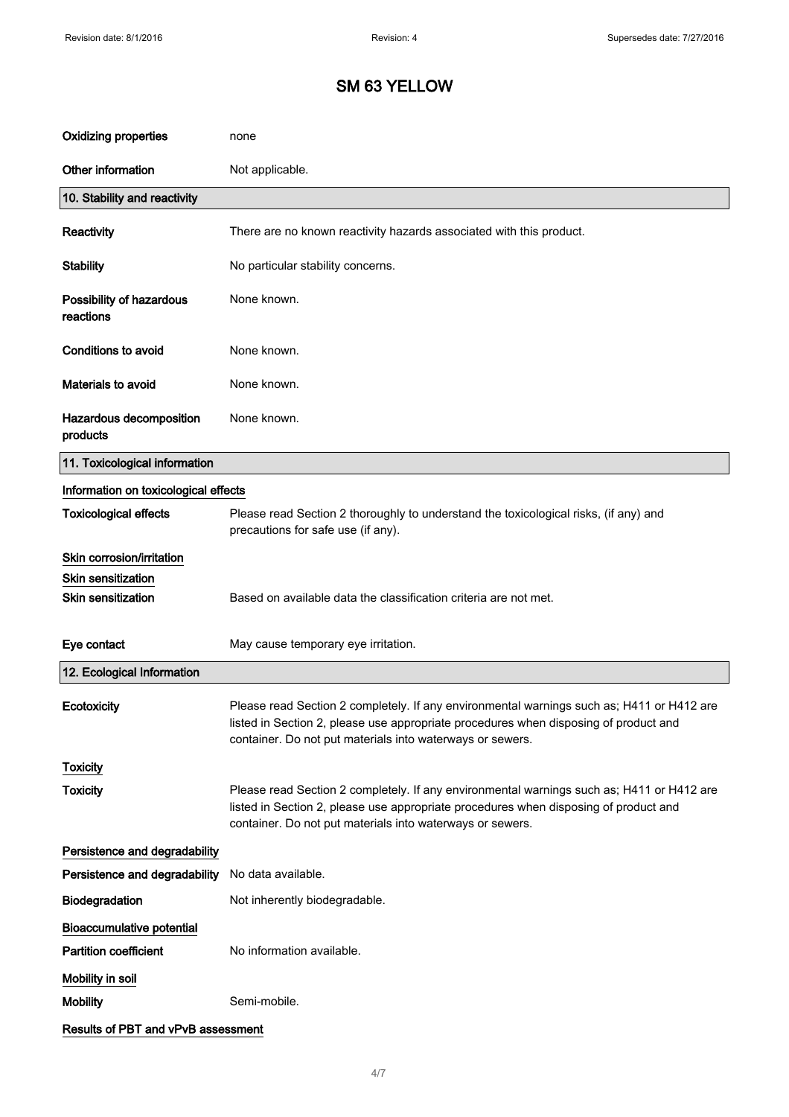| <b>Oxidizing properties</b>           | none                                                                                                                                                                                                                                           |
|---------------------------------------|------------------------------------------------------------------------------------------------------------------------------------------------------------------------------------------------------------------------------------------------|
| Other information                     | Not applicable.                                                                                                                                                                                                                                |
| 10. Stability and reactivity          |                                                                                                                                                                                                                                                |
| Reactivity                            | There are no known reactivity hazards associated with this product.                                                                                                                                                                            |
| <b>Stability</b>                      | No particular stability concerns.                                                                                                                                                                                                              |
| Possibility of hazardous<br>reactions | None known.                                                                                                                                                                                                                                    |
| <b>Conditions to avoid</b>            | None known.                                                                                                                                                                                                                                    |
| Materials to avoid                    | None known.                                                                                                                                                                                                                                    |
| Hazardous decomposition<br>products   | None known.                                                                                                                                                                                                                                    |
| 11. Toxicological information         |                                                                                                                                                                                                                                                |
| Information on toxicological effects  |                                                                                                                                                                                                                                                |
| <b>Toxicological effects</b>          | Please read Section 2 thoroughly to understand the toxicological risks, (if any) and<br>precautions for safe use (if any).                                                                                                                     |
| Skin corrosion/irritation             |                                                                                                                                                                                                                                                |
| <b>Skin sensitization</b>             |                                                                                                                                                                                                                                                |
| <b>Skin sensitization</b>             | Based on available data the classification criteria are not met.                                                                                                                                                                               |
| Eye contact                           | May cause temporary eye irritation.                                                                                                                                                                                                            |
| 12. Ecological Information            |                                                                                                                                                                                                                                                |
| Ecotoxicity                           | Please read Section 2 completely. If any environmental warnings such as; H411 or H412 are<br>listed in Section 2, please use appropriate procedures when disposing of product and<br>container. Do not put materials into waterways or sewers. |
| <b>Toxicity</b>                       |                                                                                                                                                                                                                                                |
| <b>Toxicity</b>                       | Please read Section 2 completely. If any environmental warnings such as; H411 or H412 are<br>listed in Section 2, please use appropriate procedures when disposing of product and<br>container. Do not put materials into waterways or sewers. |
| Persistence and degradability         |                                                                                                                                                                                                                                                |
| Persistence and degradability         | No data available.                                                                                                                                                                                                                             |
| Biodegradation                        | Not inherently biodegradable.                                                                                                                                                                                                                  |
| <b>Bioaccumulative potential</b>      |                                                                                                                                                                                                                                                |
| <b>Partition coefficient</b>          | No information available.                                                                                                                                                                                                                      |
| Mobility in soil                      |                                                                                                                                                                                                                                                |
| <b>Mobility</b>                       | Semi-mobile.                                                                                                                                                                                                                                   |
| Results of PBT and vPvB assessment    |                                                                                                                                                                                                                                                |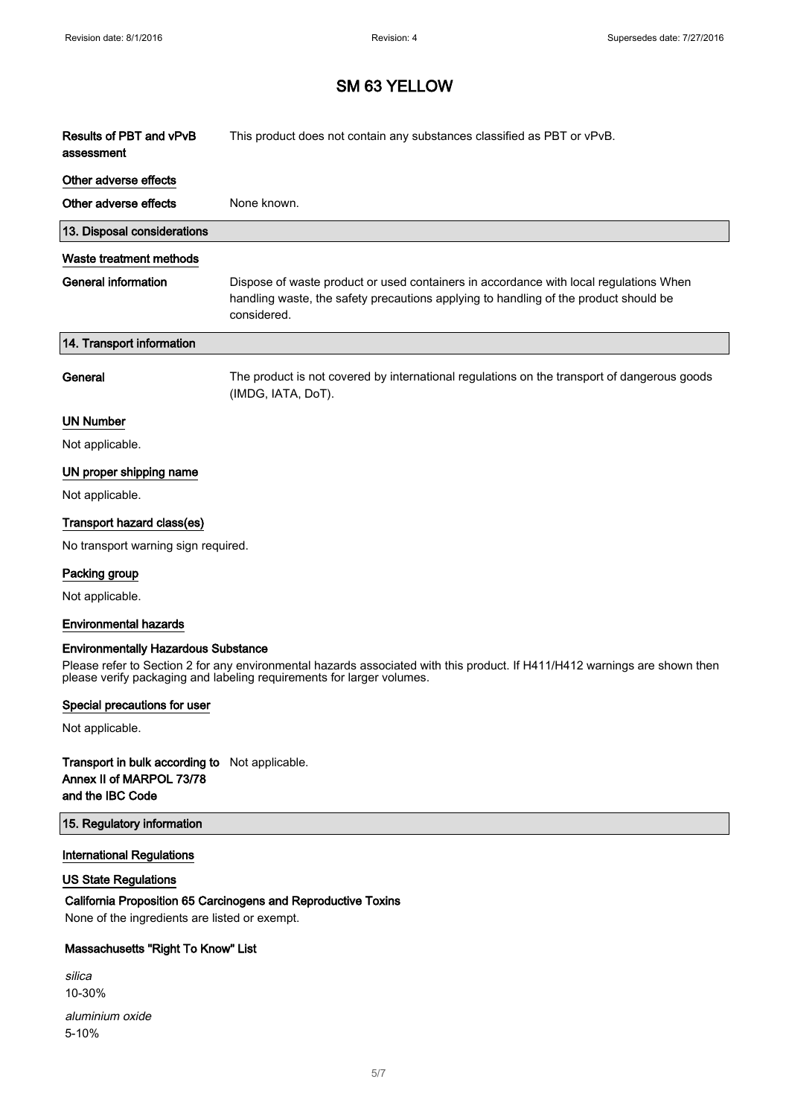$\overline{\phantom{a}}$ 

# SM 63 YELLOW

| Results of PBT and vPvB<br>assessment | This product does not contain any substances classified as PBT or vPvB.                                                                                                                      |
|---------------------------------------|----------------------------------------------------------------------------------------------------------------------------------------------------------------------------------------------|
| Other adverse effects                 |                                                                                                                                                                                              |
| Other adverse effects                 | None known.                                                                                                                                                                                  |
| 13. Disposal considerations           |                                                                                                                                                                                              |
| Waste treatment methods               |                                                                                                                                                                                              |
| <b>General information</b>            | Dispose of waste product or used containers in accordance with local regulations When<br>handling waste, the safety precautions applying to handling of the product should be<br>considered. |
| 14. Transport information             |                                                                                                                                                                                              |
| General                               | The product is not covered by international regulations on the transport of dangerous goods<br>(IMDG, IATA, DoT).                                                                            |
| <b>UN Number</b>                      |                                                                                                                                                                                              |
| Not applicable.                       |                                                                                                                                                                                              |
| UN proper shipping name               |                                                                                                                                                                                              |
| Not applicable.                       |                                                                                                                                                                                              |
| Transport hazard class(es)            |                                                                                                                                                                                              |
| No transport warning sign required.   |                                                                                                                                                                                              |
| Packing group                         |                                                                                                                                                                                              |
| Not applicable.                       |                                                                                                                                                                                              |
| <b>Environmental hazards</b>          |                                                                                                                                                                                              |

#### Environmentally Hazardous Substance

Please refer to Section 2 for any environmental hazards associated with this product. If H411/H412 warnings are shown then please verify packaging and labeling requirements for larger volumes.

#### Special precautions for user

Not applicable.

### Transport in bulk according to Not applicable. Annex II of MARPOL 73/78 and the IBC Code

#### 15. Regulatory information

#### International Regulations

### US State Regulations

## California Proposition 65 Carcinogens and Reproductive Toxins

None of the ingredients are listed or exempt.

### Massachusetts "Right To Know" List

| silica          |
|-----------------|
| $10 - 30%$      |
| aluminium oxide |
| $5 - 10%$       |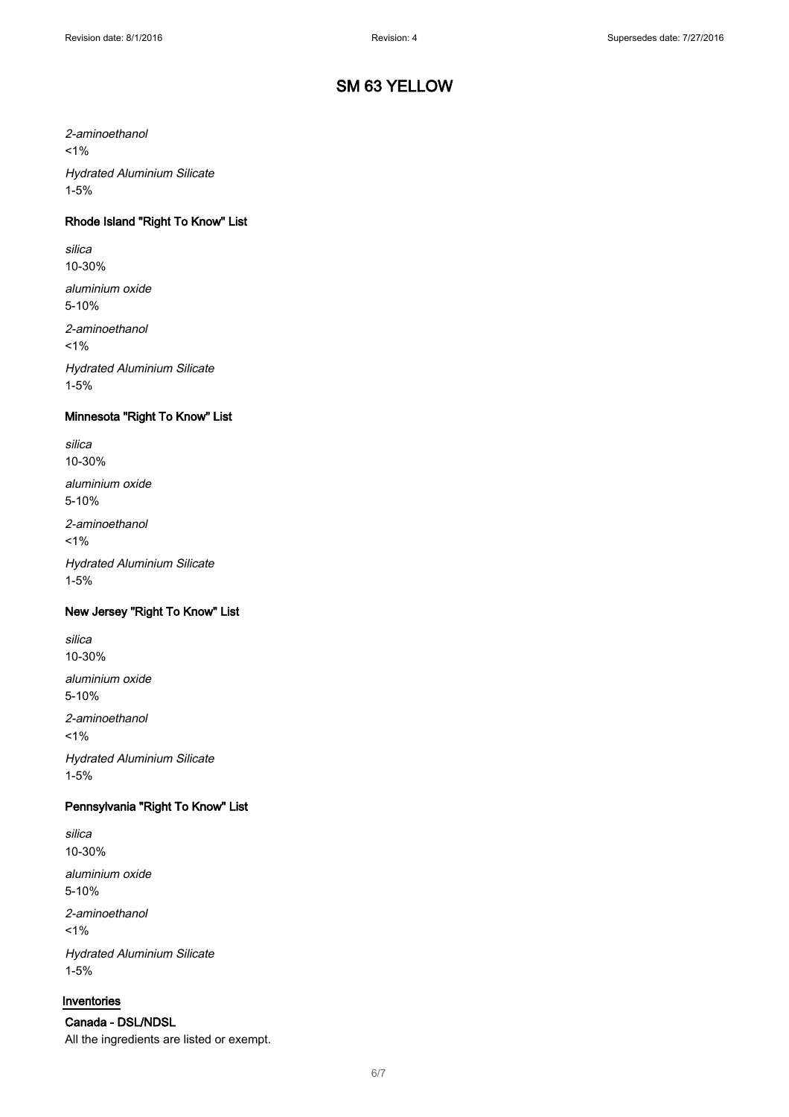2-aminoethanol

 $1%$ 

Hydrated Aluminium Silicate 1-5%

### Rhode Island "Right To Know" List

silica 10-30%

aluminium oxide 5-10%

2-aminoethanol

 $1%$ 

Hydrated Aluminium Silicate 1-5%

## Minnesota "Right To Know" List

silica 10-30%

aluminium oxide 5-10%

2-aminoethanol

 $1\%$ 

Hydrated Aluminium Silicate 1-5%

#### New Jersey "Right To Know" List

silica 10-30%

aluminium oxide 5-10%

2-aminoethanol  $1%$ Hydrated Aluminium Silicate 1-5%

### Pennsylvania "Right To Know" List

silica 10-30%

aluminium oxide 5-10%

2-aminoethanol  $1%$ Hydrated Aluminium Silicate 1-5%

#### Inventories

Canada - DSL/NDSL All the ingredients are listed or exempt.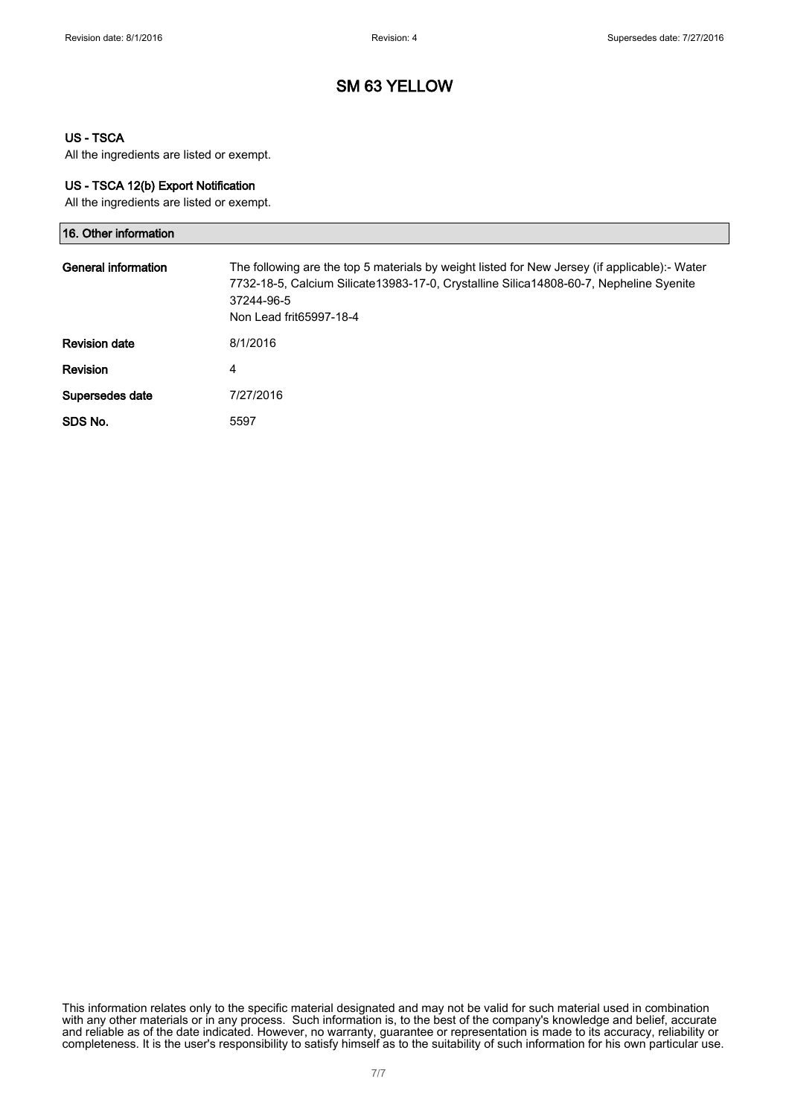### US - TSCA

All the ingredients are listed or exempt.

#### US - TSCA 12(b) Export Notification

All the ingredients are listed or exempt.

| 16. Other information |                                                                                                                                                                                                                                  |
|-----------------------|----------------------------------------------------------------------------------------------------------------------------------------------------------------------------------------------------------------------------------|
| General information   | The following are the top 5 materials by weight listed for New Jersey (if applicable):- Water<br>7732-18-5, Calcium Silicate13983-17-0, Crystalline Silica14808-60-7, Nepheline Syenite<br>37244-96-5<br>Non Lead frit65997-18-4 |
| <b>Revision date</b>  | 8/1/2016                                                                                                                                                                                                                         |
| <b>Revision</b>       | 4                                                                                                                                                                                                                                |
| Supersedes date       | 7/27/2016                                                                                                                                                                                                                        |
| SDS No.               | 5597                                                                                                                                                                                                                             |

This information relates only to the specific material designated and may not be valid for such material used in combination with any other materials or in any process. Such information is, to the best of the company's knowledge and belief, accurate and reliable as of the date indicated. However, no warranty, guarantee or representation is made to its accuracy, reliability or completeness. It is the user's responsibility to satisfy himself as to the suitability of such information for his own particular use.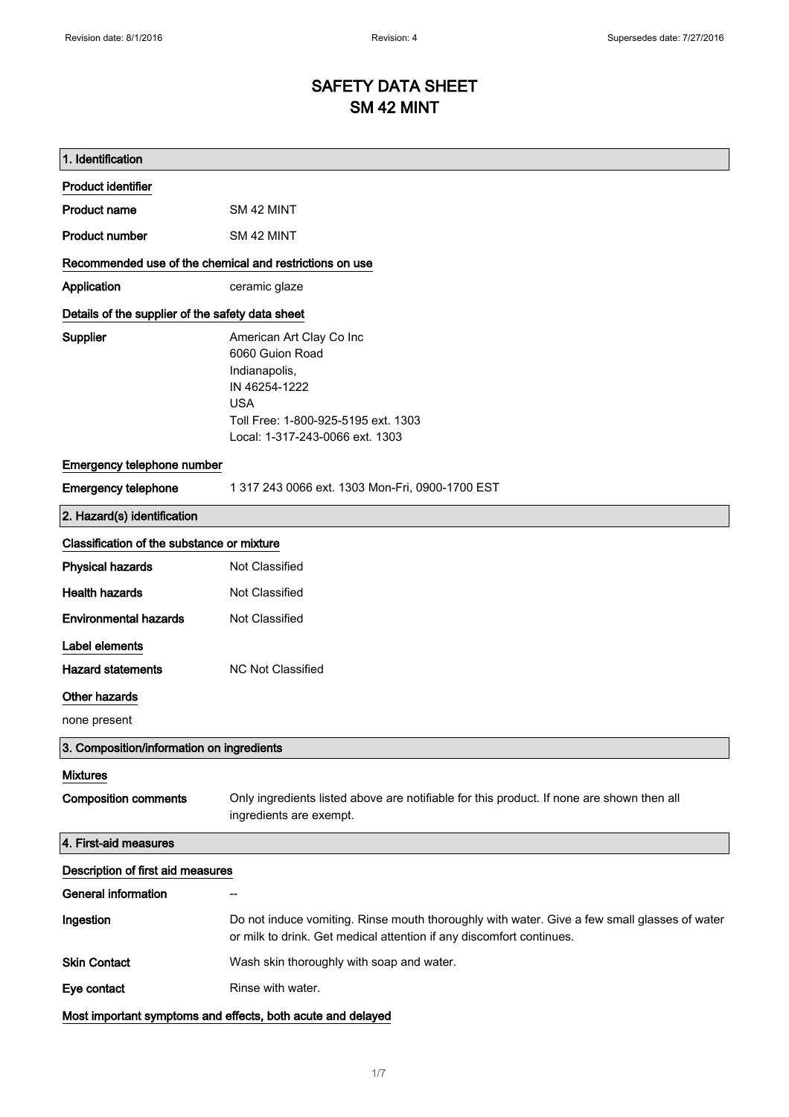# SAFETY DATA SHEET SM 42 MINT

| 1. Identification                                       |                                                                                                                                                                       |
|---------------------------------------------------------|-----------------------------------------------------------------------------------------------------------------------------------------------------------------------|
| <b>Product identifier</b>                               |                                                                                                                                                                       |
| <b>Product name</b>                                     | SM 42 MINT                                                                                                                                                            |
| <b>Product number</b>                                   | SM 42 MINT                                                                                                                                                            |
| Recommended use of the chemical and restrictions on use |                                                                                                                                                                       |
| Application                                             | ceramic glaze                                                                                                                                                         |
| Details of the supplier of the safety data sheet        |                                                                                                                                                                       |
| Supplier                                                | American Art Clay Co Inc<br>6060 Guion Road<br>Indianapolis,<br>IN 46254-1222<br><b>USA</b><br>Toll Free: 1-800-925-5195 ext. 1303<br>Local: 1-317-243-0066 ext. 1303 |
| Emergency telephone number                              |                                                                                                                                                                       |
| <b>Emergency telephone</b>                              | 1 317 243 0066 ext. 1303 Mon-Fri, 0900-1700 EST                                                                                                                       |
| 2. Hazard(s) identification                             |                                                                                                                                                                       |
| Classification of the substance or mixture              |                                                                                                                                                                       |
| <b>Physical hazards</b>                                 | Not Classified                                                                                                                                                        |
| <b>Health hazards</b>                                   | Not Classified                                                                                                                                                        |
| <b>Environmental hazards</b>                            | Not Classified                                                                                                                                                        |
| Label elements                                          |                                                                                                                                                                       |
| <b>Hazard statements</b>                                | <b>NC Not Classified</b>                                                                                                                                              |
| Other hazards                                           |                                                                                                                                                                       |
| none present                                            |                                                                                                                                                                       |
| 3. Composition/information on ingredients               |                                                                                                                                                                       |
| <b>Mixtures</b>                                         |                                                                                                                                                                       |
| <b>Composition comments</b>                             | Only ingredients listed above are notifiable for this product. If none are shown then all<br>ingredients are exempt.                                                  |
| 4. First-aid measures                                   |                                                                                                                                                                       |
| Description of first aid measures                       |                                                                                                                                                                       |
| <b>General information</b>                              | --                                                                                                                                                                    |
| Ingestion                                               | Do not induce vomiting. Rinse mouth thoroughly with water. Give a few small glasses of water<br>or milk to drink. Get medical attention if any discomfort continues.  |
| <b>Skin Contact</b>                                     | Wash skin thoroughly with soap and water.                                                                                                                             |
| Eye contact                                             | Rinse with water.                                                                                                                                                     |
|                                                         | Most important symptoms and effects, both acute and delayed                                                                                                           |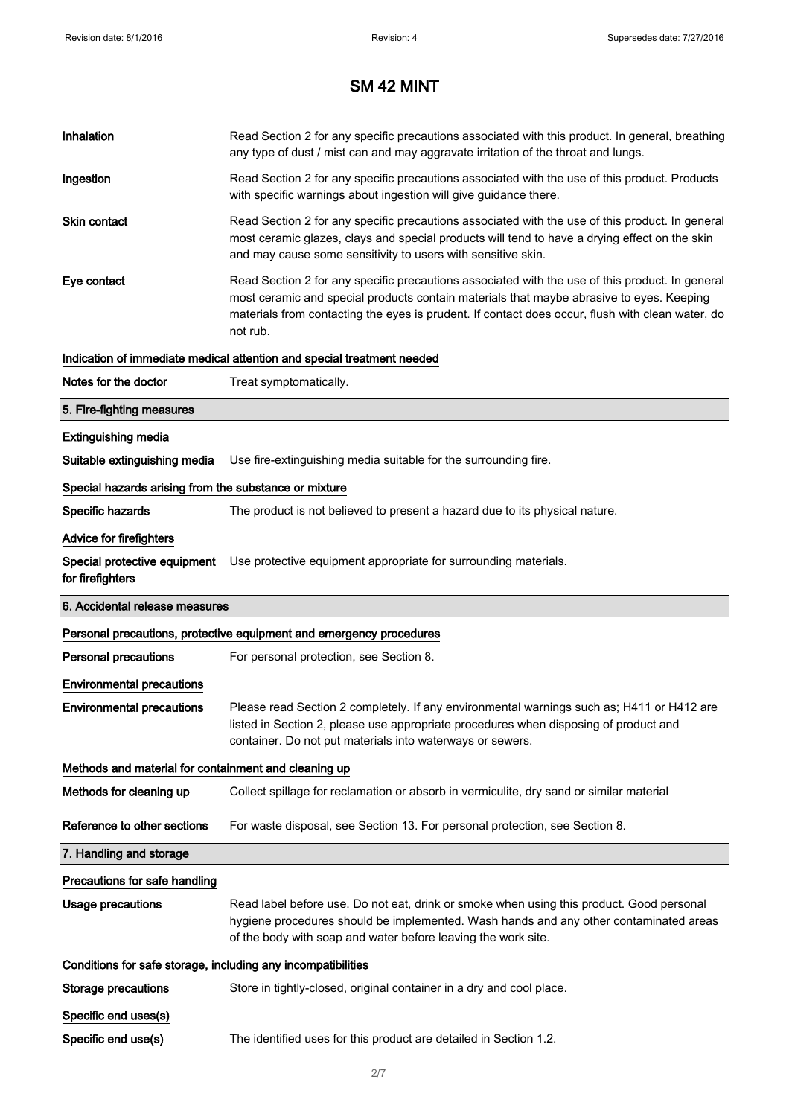| Inhalation                                                   | Read Section 2 for any specific precautions associated with this product. In general, breathing<br>any type of dust / mist can and may aggravate irritation of the throat and lungs.                                                                                                                        |
|--------------------------------------------------------------|-------------------------------------------------------------------------------------------------------------------------------------------------------------------------------------------------------------------------------------------------------------------------------------------------------------|
| Ingestion                                                    | Read Section 2 for any specific precautions associated with the use of this product. Products<br>with specific warnings about ingestion will give guidance there.                                                                                                                                           |
| <b>Skin contact</b>                                          | Read Section 2 for any specific precautions associated with the use of this product. In general<br>most ceramic glazes, clays and special products will tend to have a drying effect on the skin<br>and may cause some sensitivity to users with sensitive skin.                                            |
| Eye contact                                                  | Read Section 2 for any specific precautions associated with the use of this product. In general<br>most ceramic and special products contain materials that maybe abrasive to eyes. Keeping<br>materials from contacting the eyes is prudent. If contact does occur, flush with clean water, do<br>not rub. |
|                                                              | Indication of immediate medical attention and special treatment needed                                                                                                                                                                                                                                      |
| Notes for the doctor                                         | Treat symptomatically.                                                                                                                                                                                                                                                                                      |
| 5. Fire-fighting measures                                    |                                                                                                                                                                                                                                                                                                             |
| <b>Extinguishing media</b>                                   |                                                                                                                                                                                                                                                                                                             |
| Suitable extinguishing media                                 | Use fire-extinguishing media suitable for the surrounding fire.                                                                                                                                                                                                                                             |
| Special hazards arising from the substance or mixture        |                                                                                                                                                                                                                                                                                                             |
| Specific hazards                                             | The product is not believed to present a hazard due to its physical nature.                                                                                                                                                                                                                                 |
| Advice for firefighters                                      |                                                                                                                                                                                                                                                                                                             |
| Special protective equipment<br>for firefighters             | Use protective equipment appropriate for surrounding materials.                                                                                                                                                                                                                                             |
|                                                              |                                                                                                                                                                                                                                                                                                             |
| 6. Accidental release measures                               |                                                                                                                                                                                                                                                                                                             |
|                                                              | Personal precautions, protective equipment and emergency procedures                                                                                                                                                                                                                                         |
| Personal precautions                                         | For personal protection, see Section 8.                                                                                                                                                                                                                                                                     |
| <b>Environmental precautions</b>                             |                                                                                                                                                                                                                                                                                                             |
| <b>Environmental precautions</b>                             | Please read Section 2 completely. If any environmental warnings such as; H411 or H412 are<br>listed in Section 2, please use appropriate procedures when disposing of product and<br>container. Do not put materials into waterways or sewers.                                                              |
| Methods and material for containment and cleaning up         |                                                                                                                                                                                                                                                                                                             |
| Methods for cleaning up                                      | Collect spillage for reclamation or absorb in vermiculite, dry sand or similar material                                                                                                                                                                                                                     |
| Reference to other sections                                  | For waste disposal, see Section 13. For personal protection, see Section 8.                                                                                                                                                                                                                                 |
| 7. Handling and storage                                      |                                                                                                                                                                                                                                                                                                             |
| Precautions for safe handling                                |                                                                                                                                                                                                                                                                                                             |
| <b>Usage precautions</b>                                     | Read label before use. Do not eat, drink or smoke when using this product. Good personal<br>hygiene procedures should be implemented. Wash hands and any other contaminated areas<br>of the body with soap and water before leaving the work site.                                                          |
| Conditions for safe storage, including any incompatibilities |                                                                                                                                                                                                                                                                                                             |
| <b>Storage precautions</b>                                   | Store in tightly-closed, original container in a dry and cool place.                                                                                                                                                                                                                                        |
| Specific end uses(s)                                         |                                                                                                                                                                                                                                                                                                             |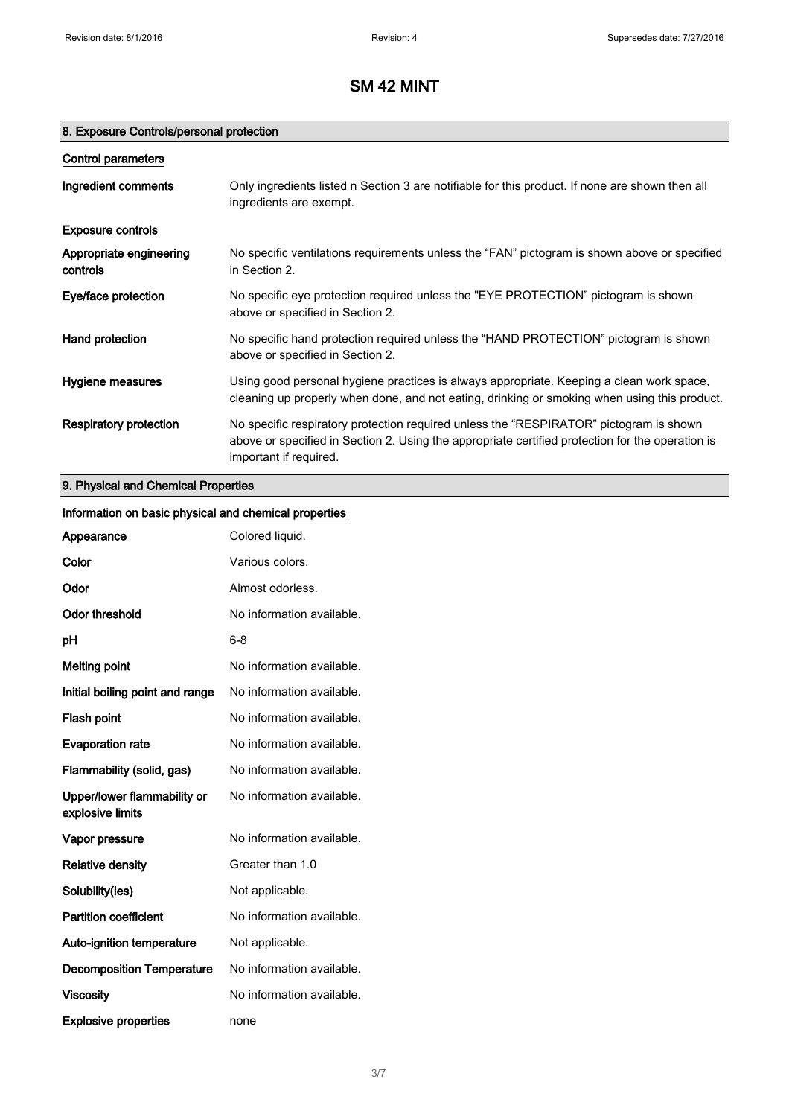## 8. Exposure Controls/personal protection

| Control parameters                  |                                                                                                                                                                                                                      |
|-------------------------------------|----------------------------------------------------------------------------------------------------------------------------------------------------------------------------------------------------------------------|
| Ingredient comments                 | Only ingredients listed n Section 3 are notifiable for this product. If none are shown then all<br>ingredients are exempt.                                                                                           |
| <b>Exposure controls</b>            |                                                                                                                                                                                                                      |
| Appropriate engineering<br>controls | No specific ventilations requirements unless the "FAN" pictogram is shown above or specified<br>in Section 2.                                                                                                        |
| Eye/face protection                 | No specific eye protection required unless the "EYE PROTECTION" pictogram is shown<br>above or specified in Section 2.                                                                                               |
| Hand protection                     | No specific hand protection required unless the "HAND PROTECTION" pictogram is shown<br>above or specified in Section 2.                                                                                             |
| Hygiene measures                    | Using good personal hygiene practices is always appropriate. Keeping a clean work space,<br>cleaning up properly when done, and not eating, drinking or smoking when using this product.                             |
| Respiratory protection              | No specific respiratory protection required unless the "RESPIRATOR" pictogram is shown<br>above or specified in Section 2. Using the appropriate certified protection for the operation is<br>important if required. |

## 9. Physical and Chemical Properties

| Information on basic physical and chemical properties |                           |
|-------------------------------------------------------|---------------------------|
| Appearance                                            | Colored liquid.           |
| Color                                                 | Various colors.           |
| Odor                                                  | Almost odorless.          |
| <b>Odor threshold</b>                                 | No information available. |
| pH                                                    | $6 - 8$                   |
| <b>Melting point</b>                                  | No information available. |
| Initial boiling point and range                       | No information available. |
| Flash point                                           | No information available. |
| <b>Evaporation rate</b>                               | No information available. |
| Flammability (solid, gas)                             | No information available. |
| Upper/lower flammability or<br>explosive limits       | No information available. |
| Vapor pressure                                        | No information available. |
| <b>Relative density</b>                               | Greater than 1.0          |
| Solubility(ies)                                       | Not applicable.           |
| <b>Partition coefficient</b>                          | No information available. |
| Auto-ignition temperature                             | Not applicable.           |
| <b>Decomposition Temperature</b>                      | No information available. |
| <b>Viscosity</b>                                      | No information available. |
| <b>Explosive properties</b>                           | none                      |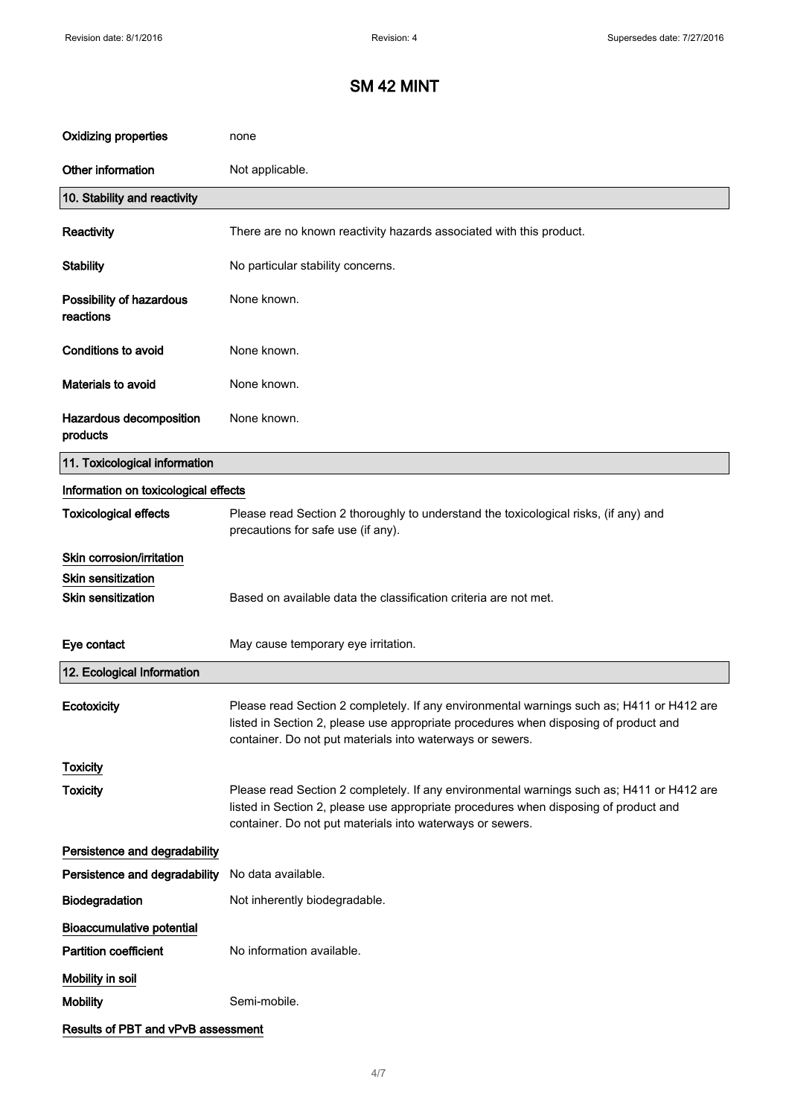| <b>Oxidizing properties</b>           | none                                                                                                                                                                                                                                           |
|---------------------------------------|------------------------------------------------------------------------------------------------------------------------------------------------------------------------------------------------------------------------------------------------|
| Other information                     | Not applicable.                                                                                                                                                                                                                                |
| 10. Stability and reactivity          |                                                                                                                                                                                                                                                |
| Reactivity                            | There are no known reactivity hazards associated with this product.                                                                                                                                                                            |
| <b>Stability</b>                      | No particular stability concerns.                                                                                                                                                                                                              |
| Possibility of hazardous<br>reactions | None known.                                                                                                                                                                                                                                    |
| <b>Conditions to avoid</b>            | None known.                                                                                                                                                                                                                                    |
| Materials to avoid                    | None known.                                                                                                                                                                                                                                    |
| Hazardous decomposition<br>products   | None known.                                                                                                                                                                                                                                    |
| 11. Toxicological information         |                                                                                                                                                                                                                                                |
| Information on toxicological effects  |                                                                                                                                                                                                                                                |
| <b>Toxicological effects</b>          | Please read Section 2 thoroughly to understand the toxicological risks, (if any) and<br>precautions for safe use (if any).                                                                                                                     |
| Skin corrosion/irritation             |                                                                                                                                                                                                                                                |
| <b>Skin sensitization</b>             |                                                                                                                                                                                                                                                |
| Skin sensitization                    | Based on available data the classification criteria are not met.                                                                                                                                                                               |
| Eye contact                           | May cause temporary eye irritation.                                                                                                                                                                                                            |
| 12. Ecological Information            |                                                                                                                                                                                                                                                |
| Ecotoxicity                           | Please read Section 2 completely. If any environmental warnings such as; H411 or H412 are<br>listed in Section 2, please use appropriate procedures when disposing of product and<br>container. Do not put materials into waterways or sewers. |
| <b>Toxicity</b>                       |                                                                                                                                                                                                                                                |
| <b>Toxicity</b>                       | Please read Section 2 completely. If any environmental warnings such as; H411 or H412 are<br>listed in Section 2, please use appropriate procedures when disposing of product and<br>container. Do not put materials into waterways or sewers. |
| Persistence and degradability         |                                                                                                                                                                                                                                                |
| Persistence and degradability         | No data available.                                                                                                                                                                                                                             |
| Biodegradation                        | Not inherently biodegradable.                                                                                                                                                                                                                  |
| <b>Bioaccumulative potential</b>      |                                                                                                                                                                                                                                                |
| <b>Partition coefficient</b>          | No information available.                                                                                                                                                                                                                      |
| Mobility in soil                      |                                                                                                                                                                                                                                                |
| <b>Mobility</b>                       | Semi-mobile.                                                                                                                                                                                                                                   |
| Results of PBT and vPvB assessment    |                                                                                                                                                                                                                                                |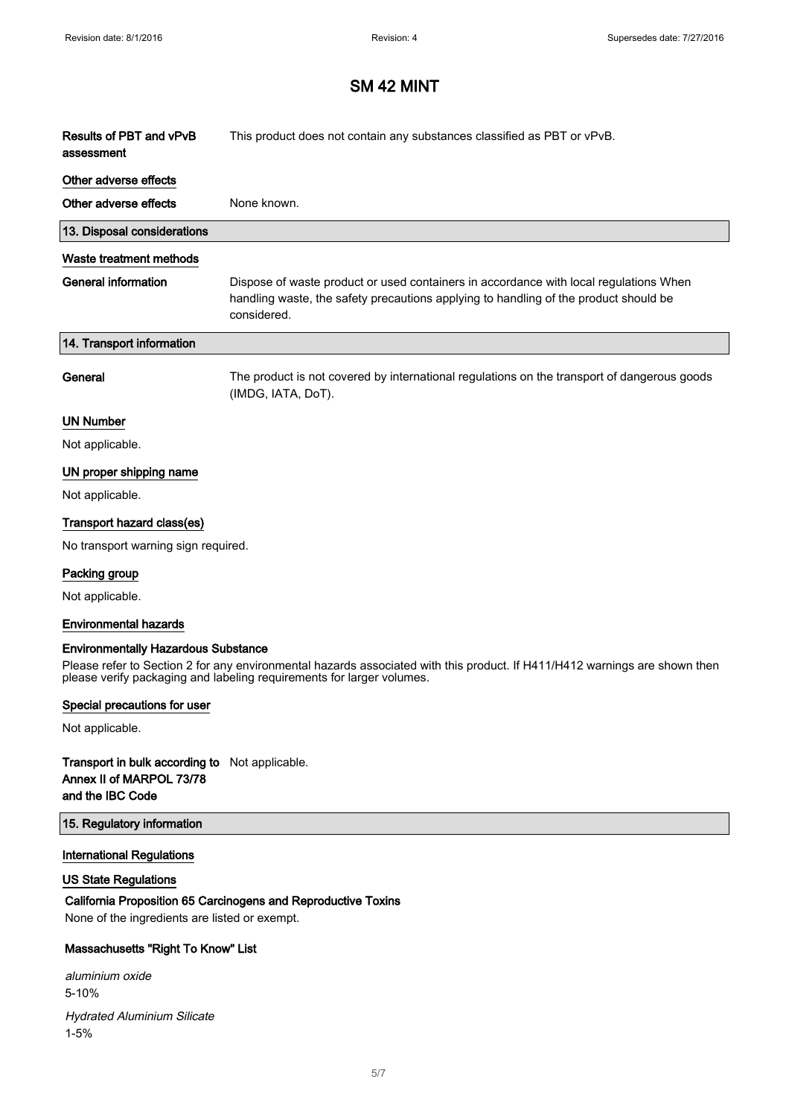| Results of PBT and vPvB<br>assessment      | This product does not contain any substances classified as PBT or vPvB.                                                                                                                      |
|--------------------------------------------|----------------------------------------------------------------------------------------------------------------------------------------------------------------------------------------------|
| Other adverse effects                      |                                                                                                                                                                                              |
| Other adverse effects                      | None known.                                                                                                                                                                                  |
| 13. Disposal considerations                |                                                                                                                                                                                              |
| Waste treatment methods                    |                                                                                                                                                                                              |
| <b>General information</b>                 | Dispose of waste product or used containers in accordance with local regulations When<br>handling waste, the safety precautions applying to handling of the product should be<br>considered. |
| 14. Transport information                  |                                                                                                                                                                                              |
| General                                    | The product is not covered by international regulations on the transport of dangerous goods<br>(IMDG, IATA, DoT).                                                                            |
| <b>UN Number</b>                           |                                                                                                                                                                                              |
| Not applicable.                            |                                                                                                                                                                                              |
| UN proper shipping name                    |                                                                                                                                                                                              |
| Not applicable.                            |                                                                                                                                                                                              |
| Transport hazard class(es)                 |                                                                                                                                                                                              |
| No transport warning sign required.        |                                                                                                                                                                                              |
| Packing group                              |                                                                                                                                                                                              |
| Not applicable.                            |                                                                                                                                                                                              |
| <b>Environmental hazards</b>               |                                                                                                                                                                                              |
| <b>Environmentally Hazardous Substance</b> |                                                                                                                                                                                              |

Please refer to Section 2 for any environmental hazards associated with this product. If H411/H412 warnings are shown then please verify packaging and labeling requirements for larger volumes.

#### Special precautions for user

Not applicable.

### Transport in bulk according to Not applicable. Annex II of MARPOL 73/78 and the IBC Code

#### 15. Regulatory information

#### International Regulations

### US State Regulations

## California Proposition 65 Carcinogens and Reproductive Toxins

None of the ingredients are listed or exempt.

### Massachusetts "Right To Know" List

aluminium oxide 5-10% Hydrated Aluminium Silicate 1-5%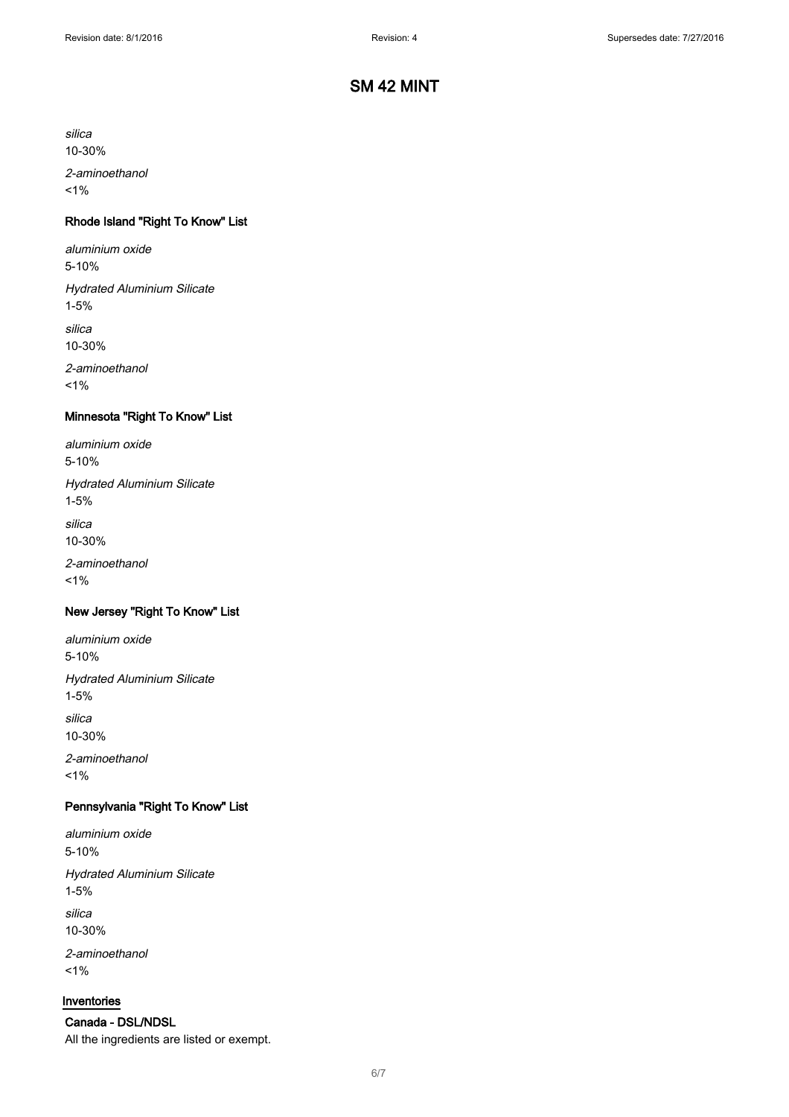silica

10-30%

2-aminoethanol  $1%$ 

## Rhode Island "Right To Know" List

aluminium oxide 5-10%

Hydrated Aluminium Silicate 1-5%

silica 10-30%

2-aminoethanol  $1%$ 

### Minnesota "Right To Know" List

aluminium oxide 5-10% Hydrated Aluminium Silicate 1-5% silica

10-30%

2-aminoethanol  $1%$ 

#### New Jersey "Right To Know" List

aluminium oxide 5-10% Hydrated Aluminium Silicate 1-5% silica 10-30%

2-aminoethanol  $1%$ 

## Pennsylvania "Right To Know" List

aluminium oxide 5-10% Hydrated Aluminium Silicate 1-5% silica 10-30% 2-aminoethanol

 $1%$ 

#### Inventories

Canada - DSL/NDSL All the ingredients are listed or exempt.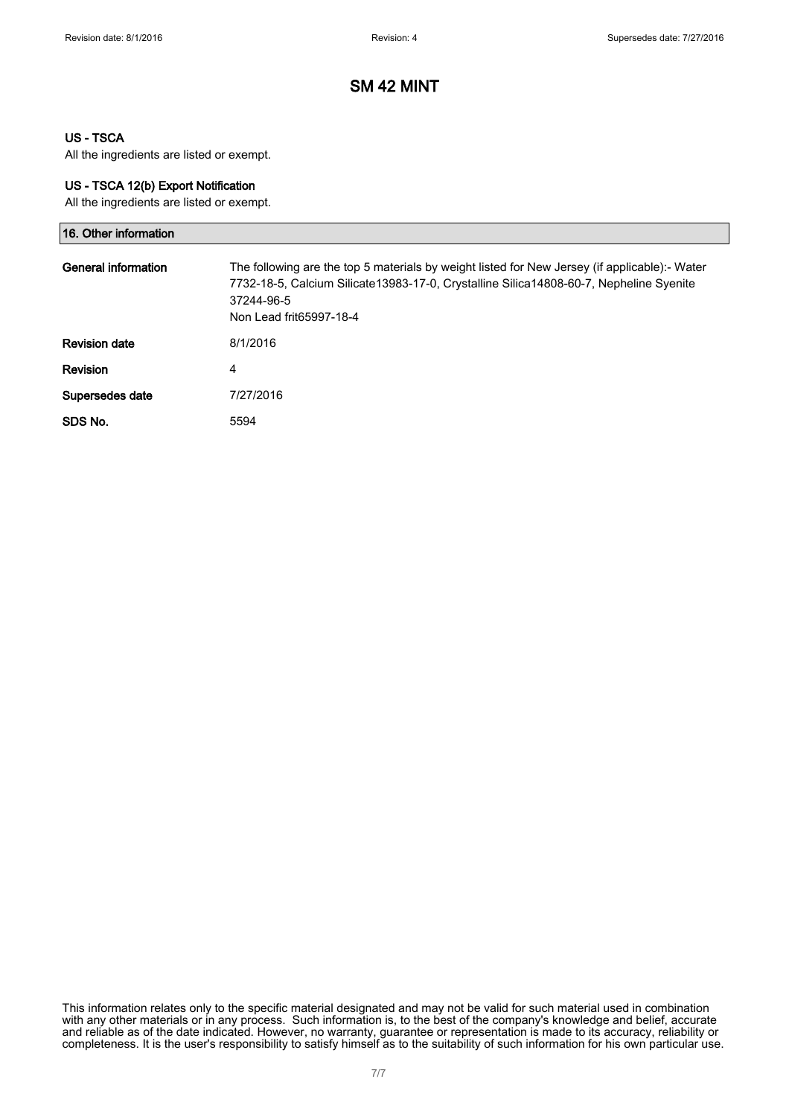#### US - TSCA

All the ingredients are listed or exempt.

#### US - TSCA 12(b) Export Notification

All the ingredients are listed or exempt.

| 16. Other information |                                                                                                                                                                                                                                  |
|-----------------------|----------------------------------------------------------------------------------------------------------------------------------------------------------------------------------------------------------------------------------|
| General information   | The following are the top 5 materials by weight listed for New Jersey (if applicable):- Water<br>7732-18-5, Calcium Silicate13983-17-0, Crystalline Silica14808-60-7, Nepheline Syenite<br>37244-96-5<br>Non Lead frit65997-18-4 |
| <b>Revision date</b>  | 8/1/2016                                                                                                                                                                                                                         |
| <b>Revision</b>       | 4                                                                                                                                                                                                                                |
| Supersedes date       | 7/27/2016                                                                                                                                                                                                                        |
| SDS No.               | 5594                                                                                                                                                                                                                             |

This information relates only to the specific material designated and may not be valid for such material used in combination with any other materials or in any process. Such information is, to the best of the company's knowledge and belief, accurate and reliable as of the date indicated. However, no warranty, guarantee or representation is made to its accuracy, reliability or completeness. It is the user's responsibility to satisfy himself as to the suitability of such information for his own particular use.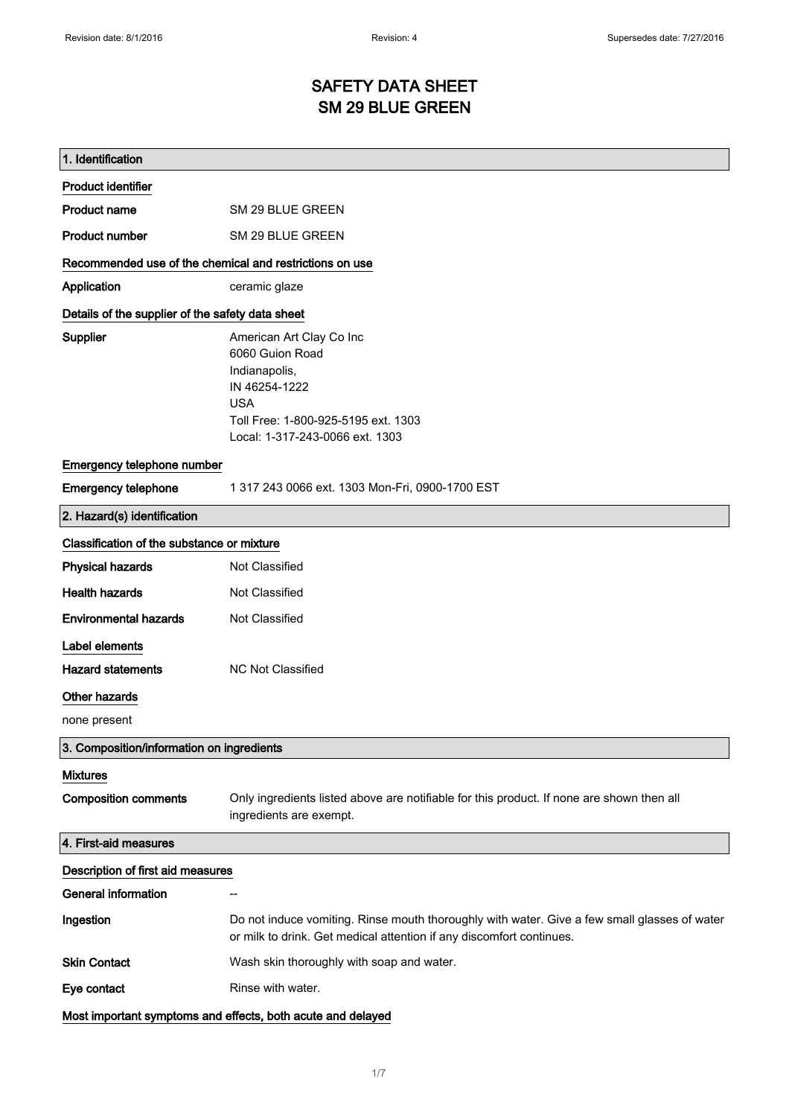# SAFETY DATA SHEET SM 29 BLUE GREEN

| 1. Identification                                       |                                                                                                                                                                       |
|---------------------------------------------------------|-----------------------------------------------------------------------------------------------------------------------------------------------------------------------|
| <b>Product identifier</b>                               |                                                                                                                                                                       |
| Product name                                            | SM 29 BLUE GREEN                                                                                                                                                      |
| <b>Product number</b>                                   | SM 29 BLUE GREEN                                                                                                                                                      |
| Recommended use of the chemical and restrictions on use |                                                                                                                                                                       |
| Application                                             | ceramic glaze                                                                                                                                                         |
| Details of the supplier of the safety data sheet        |                                                                                                                                                                       |
| Supplier                                                | American Art Clay Co Inc<br>6060 Guion Road<br>Indianapolis,<br>IN 46254-1222<br><b>USA</b><br>Toll Free: 1-800-925-5195 ext. 1303<br>Local: 1-317-243-0066 ext. 1303 |
| Emergency telephone number                              |                                                                                                                                                                       |
| <b>Emergency telephone</b>                              | 1 317 243 0066 ext. 1303 Mon-Fri, 0900-1700 EST                                                                                                                       |
| 2. Hazard(s) identification                             |                                                                                                                                                                       |
| Classification of the substance or mixture              |                                                                                                                                                                       |
| <b>Physical hazards</b>                                 | Not Classified                                                                                                                                                        |
| <b>Health hazards</b>                                   | Not Classified                                                                                                                                                        |
| <b>Environmental hazards</b>                            | Not Classified                                                                                                                                                        |
| Label elements                                          |                                                                                                                                                                       |
| <b>Hazard statements</b>                                | <b>NC Not Classified</b>                                                                                                                                              |
| Other hazards                                           |                                                                                                                                                                       |
| none present                                            |                                                                                                                                                                       |
| 3. Composition/information on ingredients               |                                                                                                                                                                       |
| <b>Mixtures</b>                                         |                                                                                                                                                                       |
| <b>Composition comments</b>                             | Only ingredients listed above are notifiable for this product. If none are shown then all<br>ingredients are exempt.                                                  |
| 4. First-aid measures                                   |                                                                                                                                                                       |
| Description of first aid measures                       |                                                                                                                                                                       |
| <b>General information</b>                              |                                                                                                                                                                       |
| Ingestion                                               | Do not induce vomiting. Rinse mouth thoroughly with water. Give a few small glasses of water<br>or milk to drink. Get medical attention if any discomfort continues.  |
| <b>Skin Contact</b>                                     | Wash skin thoroughly with soap and water.                                                                                                                             |
| Eye contact                                             | Rinse with water.                                                                                                                                                     |
|                                                         | Most important symptoms and effects, both acute and delayed                                                                                                           |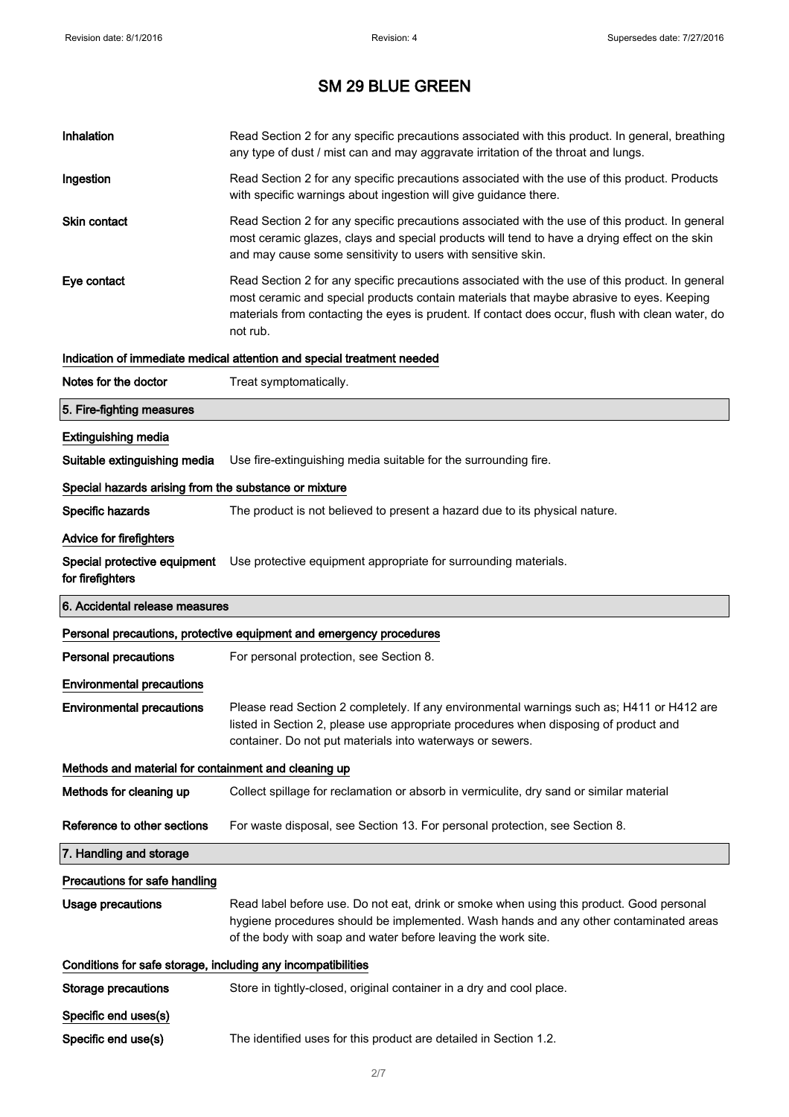| Inhalation                                                   | Read Section 2 for any specific precautions associated with this product. In general, breathing<br>any type of dust / mist can and may aggravate irritation of the throat and lungs.                                                                                                                        |
|--------------------------------------------------------------|-------------------------------------------------------------------------------------------------------------------------------------------------------------------------------------------------------------------------------------------------------------------------------------------------------------|
| Ingestion                                                    | Read Section 2 for any specific precautions associated with the use of this product. Products<br>with specific warnings about ingestion will give guidance there.                                                                                                                                           |
| <b>Skin contact</b>                                          | Read Section 2 for any specific precautions associated with the use of this product. In general<br>most ceramic glazes, clays and special products will tend to have a drying effect on the skin<br>and may cause some sensitivity to users with sensitive skin.                                            |
| Eye contact                                                  | Read Section 2 for any specific precautions associated with the use of this product. In general<br>most ceramic and special products contain materials that maybe abrasive to eyes. Keeping<br>materials from contacting the eyes is prudent. If contact does occur, flush with clean water, do<br>not rub. |
|                                                              | Indication of immediate medical attention and special treatment needed                                                                                                                                                                                                                                      |
| Notes for the doctor                                         | Treat symptomatically.                                                                                                                                                                                                                                                                                      |
| 5. Fire-fighting measures                                    |                                                                                                                                                                                                                                                                                                             |
| <b>Extinguishing media</b>                                   |                                                                                                                                                                                                                                                                                                             |
| Suitable extinguishing media                                 | Use fire-extinguishing media suitable for the surrounding fire.                                                                                                                                                                                                                                             |
| Special hazards arising from the substance or mixture        |                                                                                                                                                                                                                                                                                                             |
| Specific hazards                                             | The product is not believed to present a hazard due to its physical nature.                                                                                                                                                                                                                                 |
| Advice for firefighters                                      |                                                                                                                                                                                                                                                                                                             |
| Special protective equipment<br>for firefighters             | Use protective equipment appropriate for surrounding materials.                                                                                                                                                                                                                                             |
|                                                              |                                                                                                                                                                                                                                                                                                             |
| 6. Accidental release measures                               |                                                                                                                                                                                                                                                                                                             |
|                                                              | Personal precautions, protective equipment and emergency procedures                                                                                                                                                                                                                                         |
| <b>Personal precautions</b>                                  | For personal protection, see Section 8.                                                                                                                                                                                                                                                                     |
| <b>Environmental precautions</b>                             |                                                                                                                                                                                                                                                                                                             |
| <b>Environmental precautions</b>                             | Please read Section 2 completely. If any environmental warnings such as; H411 or H412 are<br>listed in Section 2, please use appropriate procedures when disposing of product and<br>container. Do not put materials into waterways or sewers.                                                              |
| Methods and material for containment and cleaning up         |                                                                                                                                                                                                                                                                                                             |
| Methods for cleaning up                                      | Collect spillage for reclamation or absorb in vermiculite, dry sand or similar material                                                                                                                                                                                                                     |
| Reference to other sections                                  | For waste disposal, see Section 13. For personal protection, see Section 8.                                                                                                                                                                                                                                 |
| 7. Handling and storage                                      |                                                                                                                                                                                                                                                                                                             |
| Precautions for safe handling                                |                                                                                                                                                                                                                                                                                                             |
| <b>Usage precautions</b>                                     | Read label before use. Do not eat, drink or smoke when using this product. Good personal<br>hygiene procedures should be implemented. Wash hands and any other contaminated areas<br>of the body with soap and water before leaving the work site.                                                          |
| Conditions for safe storage, including any incompatibilities |                                                                                                                                                                                                                                                                                                             |
| <b>Storage precautions</b>                                   | Store in tightly-closed, original container in a dry and cool place.                                                                                                                                                                                                                                        |
| Specific end uses(s)                                         |                                                                                                                                                                                                                                                                                                             |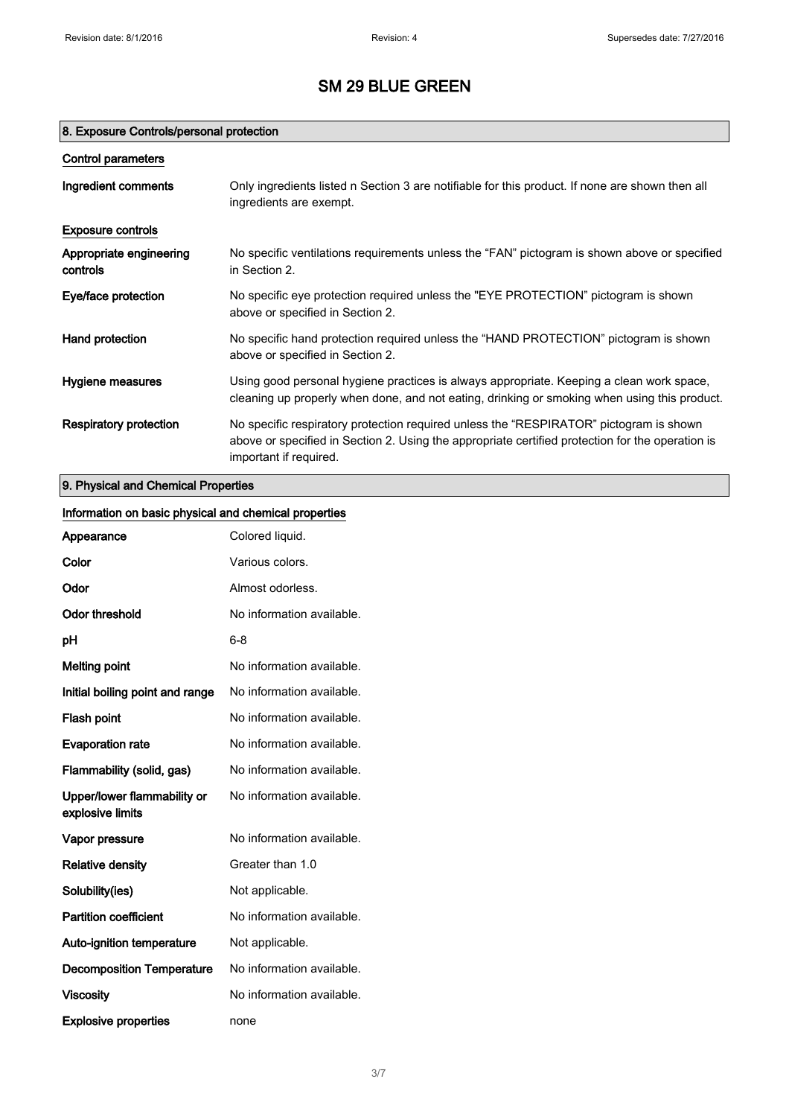## 8. Exposure Controls/personal protection

| <b>Control parameters</b>           |                                                                                                                                                                                                                      |
|-------------------------------------|----------------------------------------------------------------------------------------------------------------------------------------------------------------------------------------------------------------------|
| Ingredient comments                 | Only ingredients listed n Section 3 are notifiable for this product. If none are shown then all<br>ingredients are exempt.                                                                                           |
| <b>Exposure controls</b>            |                                                                                                                                                                                                                      |
| Appropriate engineering<br>controls | No specific ventilations requirements unless the "FAN" pictogram is shown above or specified<br>in Section 2.                                                                                                        |
| Eye/face protection                 | No specific eye protection required unless the "EYE PROTECTION" pictogram is shown<br>above or specified in Section 2.                                                                                               |
| Hand protection                     | No specific hand protection required unless the "HAND PROTECTION" pictogram is shown<br>above or specified in Section 2.                                                                                             |
| Hygiene measures                    | Using good personal hygiene practices is always appropriate. Keeping a clean work space,<br>cleaning up properly when done, and not eating, drinking or smoking when using this product.                             |
| Respiratory protection              | No specific respiratory protection required unless the "RESPIRATOR" pictogram is shown<br>above or specified in Section 2. Using the appropriate certified protection for the operation is<br>important if required. |

# 9. Physical and Chemical Properties

| Information on basic physical and chemical properties |                           |
|-------------------------------------------------------|---------------------------|
| Appearance                                            | Colored liquid.           |
| Color                                                 | Various colors.           |
| Odor                                                  | Almost odorless.          |
| <b>Odor threshold</b>                                 | No information available. |
| pH                                                    | $6 - 8$                   |
| <b>Melting point</b>                                  | No information available. |
| Initial boiling point and range                       | No information available. |
| Flash point                                           | No information available. |
| <b>Evaporation rate</b>                               | No information available. |
| Flammability (solid, gas)                             | No information available. |
| Upper/lower flammability or<br>explosive limits       | No information available. |
| Vapor pressure                                        | No information available. |
| <b>Relative density</b>                               | Greater than 1.0          |
| Solubility(ies)                                       | Not applicable.           |
| <b>Partition coefficient</b>                          | No information available. |
| Auto-ignition temperature                             | Not applicable.           |
| <b>Decomposition Temperature</b>                      | No information available. |
| <b>Viscosity</b>                                      | No information available. |
| <b>Explosive properties</b>                           | none                      |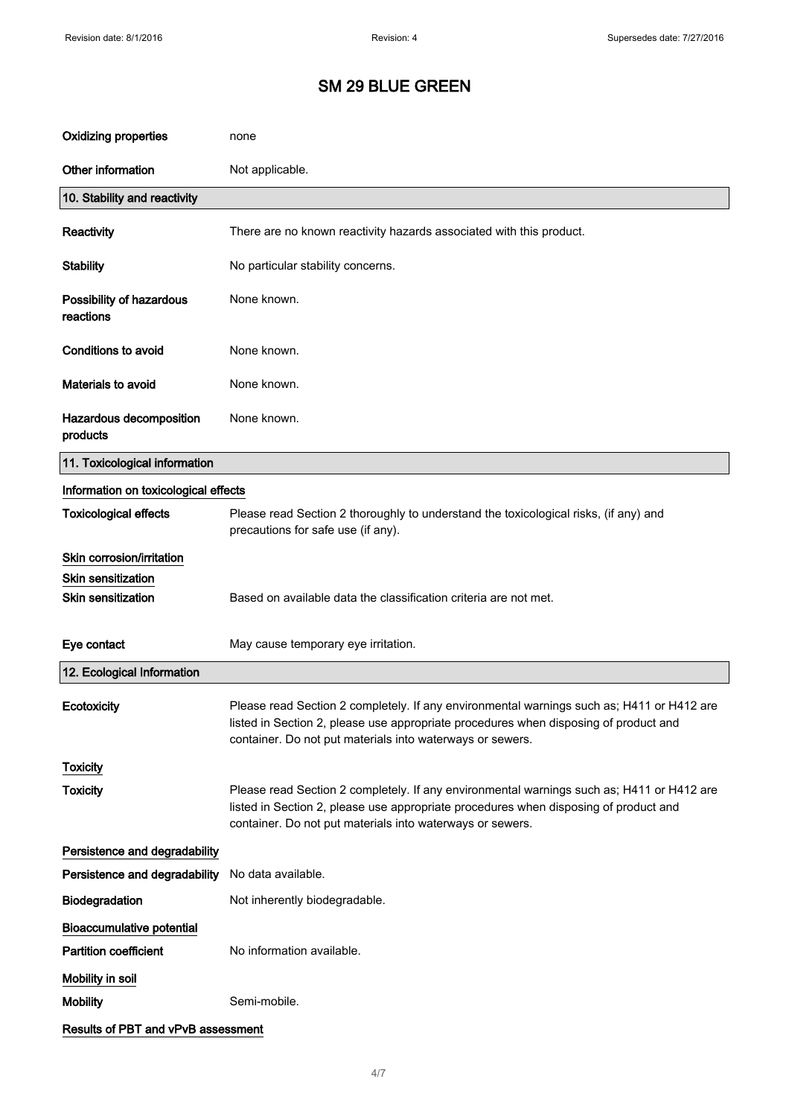| <b>Oxidizing properties</b>           | none                                                                                                                                                                                                                                           |
|---------------------------------------|------------------------------------------------------------------------------------------------------------------------------------------------------------------------------------------------------------------------------------------------|
| Other information                     | Not applicable.                                                                                                                                                                                                                                |
| 10. Stability and reactivity          |                                                                                                                                                                                                                                                |
| Reactivity                            | There are no known reactivity hazards associated with this product.                                                                                                                                                                            |
| <b>Stability</b>                      | No particular stability concerns.                                                                                                                                                                                                              |
| Possibility of hazardous<br>reactions | None known.                                                                                                                                                                                                                                    |
| <b>Conditions to avoid</b>            | None known.                                                                                                                                                                                                                                    |
| Materials to avoid                    | None known.                                                                                                                                                                                                                                    |
| Hazardous decomposition<br>products   | None known.                                                                                                                                                                                                                                    |
| 11. Toxicological information         |                                                                                                                                                                                                                                                |
| Information on toxicological effects  |                                                                                                                                                                                                                                                |
| <b>Toxicological effects</b>          | Please read Section 2 thoroughly to understand the toxicological risks, (if any) and<br>precautions for safe use (if any).                                                                                                                     |
| Skin corrosion/irritation             |                                                                                                                                                                                                                                                |
| <b>Skin sensitization</b>             |                                                                                                                                                                                                                                                |
| Skin sensitization                    | Based on available data the classification criteria are not met.                                                                                                                                                                               |
| Eye contact                           | May cause temporary eye irritation.                                                                                                                                                                                                            |
| 12. Ecological Information            |                                                                                                                                                                                                                                                |
| Ecotoxicity                           | Please read Section 2 completely. If any environmental warnings such as; H411 or H412 are<br>listed in Section 2, please use appropriate procedures when disposing of product and<br>container. Do not put materials into waterways or sewers. |
| <b>Toxicity</b>                       |                                                                                                                                                                                                                                                |
| <b>Toxicity</b>                       | Please read Section 2 completely. If any environmental warnings such as; H411 or H412 are<br>listed in Section 2, please use appropriate procedures when disposing of product and<br>container. Do not put materials into waterways or sewers. |
| Persistence and degradability         |                                                                                                                                                                                                                                                |
| Persistence and degradability         | No data available.                                                                                                                                                                                                                             |
| Biodegradation                        | Not inherently biodegradable.                                                                                                                                                                                                                  |
| <b>Bioaccumulative potential</b>      |                                                                                                                                                                                                                                                |
| <b>Partition coefficient</b>          | No information available.                                                                                                                                                                                                                      |
| Mobility in soil                      |                                                                                                                                                                                                                                                |
| <b>Mobility</b>                       | Semi-mobile.                                                                                                                                                                                                                                   |
| Results of PBT and vPvB assessment    |                                                                                                                                                                                                                                                |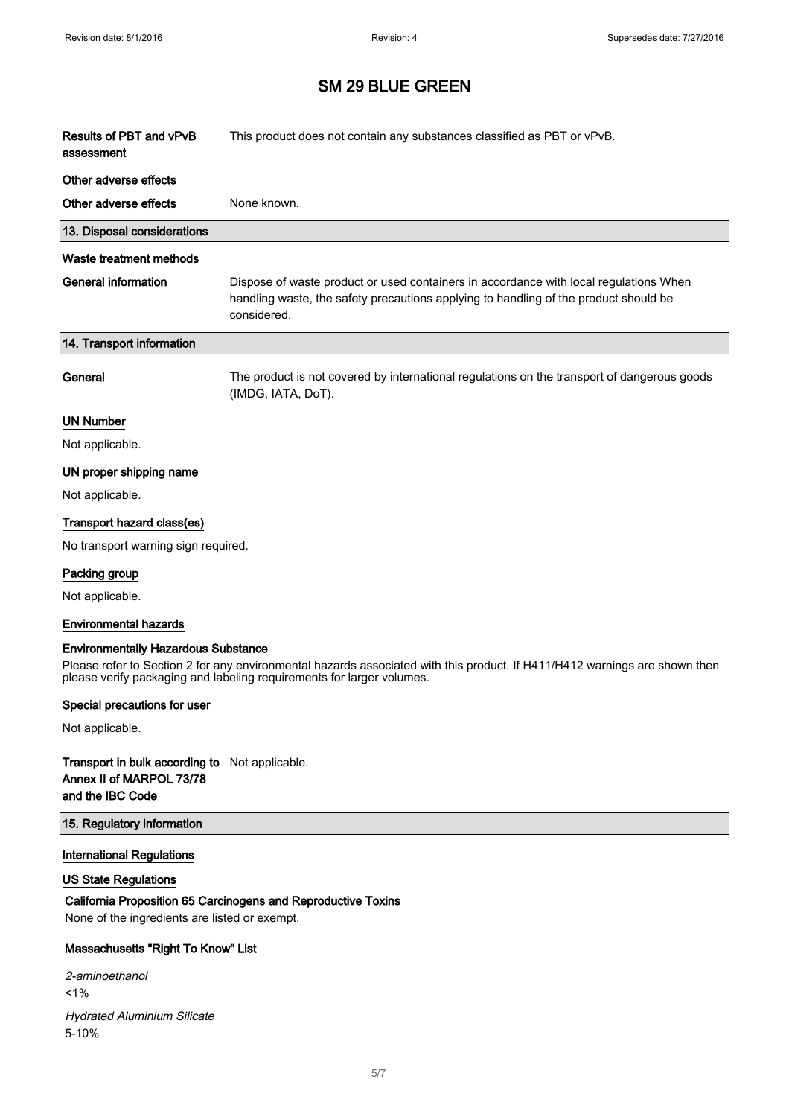| Results of PBT and vPvB<br>assessment      | This product does not contain any substances classified as PBT or vPvB.                                                                                                                      |
|--------------------------------------------|----------------------------------------------------------------------------------------------------------------------------------------------------------------------------------------------|
| Other adverse effects                      |                                                                                                                                                                                              |
| Other adverse effects                      | None known.                                                                                                                                                                                  |
| 13. Disposal considerations                |                                                                                                                                                                                              |
| Waste treatment methods                    |                                                                                                                                                                                              |
| <b>General information</b>                 | Dispose of waste product or used containers in accordance with local regulations When<br>handling waste, the safety precautions applying to handling of the product should be<br>considered. |
| 14. Transport information                  |                                                                                                                                                                                              |
| General                                    | The product is not covered by international regulations on the transport of dangerous goods<br>(IMDG, IATA, DoT).                                                                            |
| <b>UN Number</b>                           |                                                                                                                                                                                              |
| Not applicable.                            |                                                                                                                                                                                              |
| UN proper shipping name                    |                                                                                                                                                                                              |
| Not applicable.                            |                                                                                                                                                                                              |
| Transport hazard class(es)                 |                                                                                                                                                                                              |
| No transport warning sign required.        |                                                                                                                                                                                              |
| Packing group                              |                                                                                                                                                                                              |
| Not applicable.                            |                                                                                                                                                                                              |
| <b>Environmental hazards</b>               |                                                                                                                                                                                              |
| <b>Environmentally Hazardous Substance</b> | Please refer to Section 2 for any environmental hazards associated with this product. If H411/H412 warnings are shown then                                                                   |
|                                            | please verify packaging and labeling requirements for larger volumes.                                                                                                                        |

### Special precautions for user

Not applicable.

### Transport in bulk according to Not applicable. Annex II of MARPOL 73/78 and the IBC Code

#### 15. Regulatory information

## International Regulations

## US State Regulations

## California Proposition 65 Carcinogens and Reproductive Toxins

None of the ingredients are listed or exempt.

## Massachusetts "Right To Know" List

2-aminoethanol <1% Hydrated Aluminium Silicate 5-10%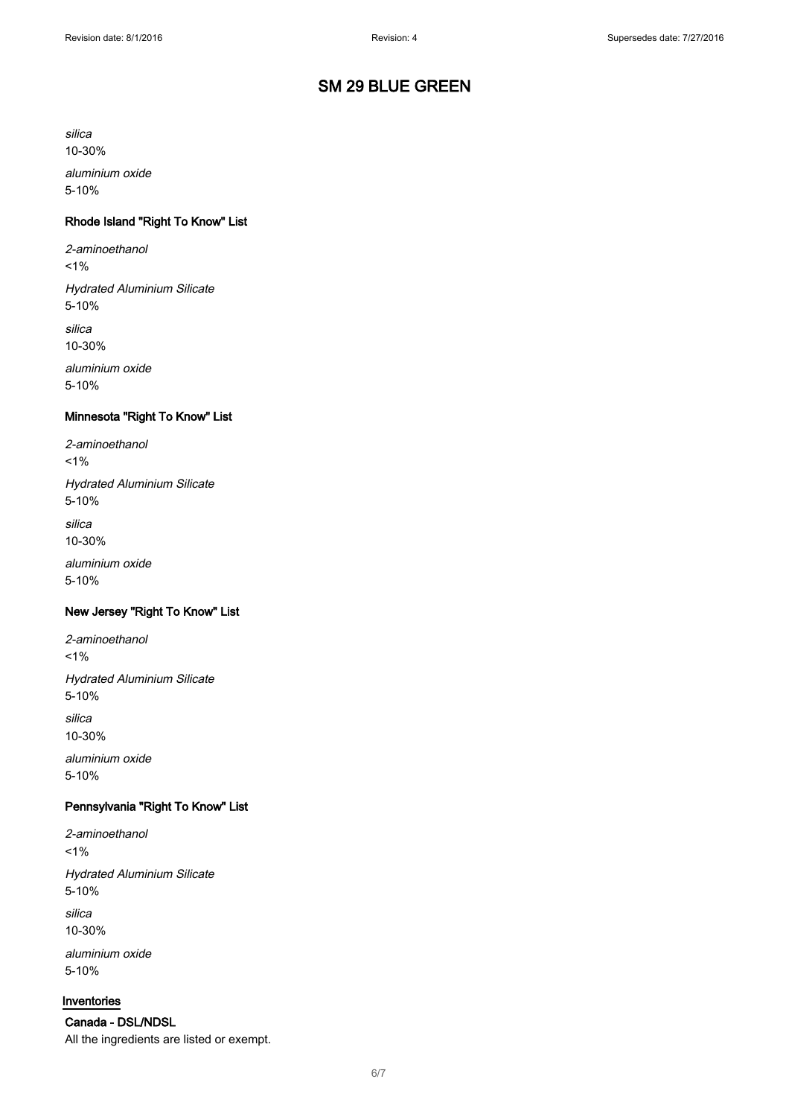silica

10-30%

aluminium oxide 5-10%

## Rhode Island "Right To Know" List

2-aminoethanol

 $1%$ 

Hydrated Aluminium Silicate 5-10%

silica 10-30%

aluminium oxide

5-10%

## Minnesota "Right To Know" List

2-aminoethanol  $1%$ 

Hydrated Aluminium Silicate 5-10%

silica

10-30%

aluminium oxide 5-10%

#### New Jersey "Right To Know" List

2-aminoethanol

 $1%$ 

Hydrated Aluminium Silicate 5-10%

silica 10-30%

aluminium oxide 5-10%

### Pennsylvania "Right To Know" List

2-aminoethanol  $1%$ Hydrated Aluminium Silicate 5-10%

silica 10-30%

aluminium oxide 5-10%

#### Inventories

Canada - DSL/NDSL All the ingredients are listed or exempt.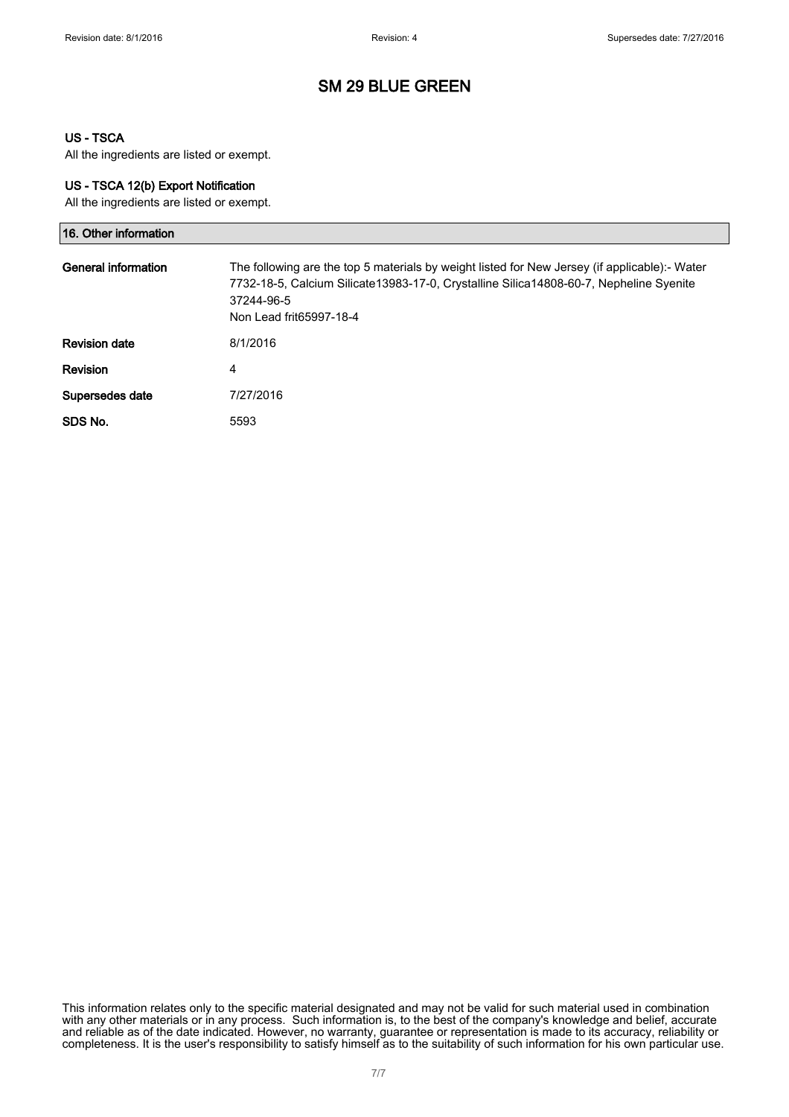### US - TSCA

All the ingredients are listed or exempt.

#### US - TSCA 12(b) Export Notification

All the ingredients are listed or exempt.

| 16. Other information |                                                                                                                                                                                                                                  |
|-----------------------|----------------------------------------------------------------------------------------------------------------------------------------------------------------------------------------------------------------------------------|
| General information   | The following are the top 5 materials by weight listed for New Jersey (if applicable):- Water<br>7732-18-5, Calcium Silicate13983-17-0, Crystalline Silica14808-60-7, Nepheline Syenite<br>37244-96-5<br>Non Lead frit65997-18-4 |
| <b>Revision date</b>  | 8/1/2016                                                                                                                                                                                                                         |
| <b>Revision</b>       | 4                                                                                                                                                                                                                                |
| Supersedes date       | 7/27/2016                                                                                                                                                                                                                        |
| SDS No.               | 5593                                                                                                                                                                                                                             |

This information relates only to the specific material designated and may not be valid for such material used in combination with any other materials or in any process. Such information is, to the best of the company's knowledge and belief, accurate and reliable as of the date indicated. However, no warranty, guarantee or representation is made to its accuracy, reliability or completeness. It is the user's responsibility to satisfy himself as to the suitability of such information for his own particular use.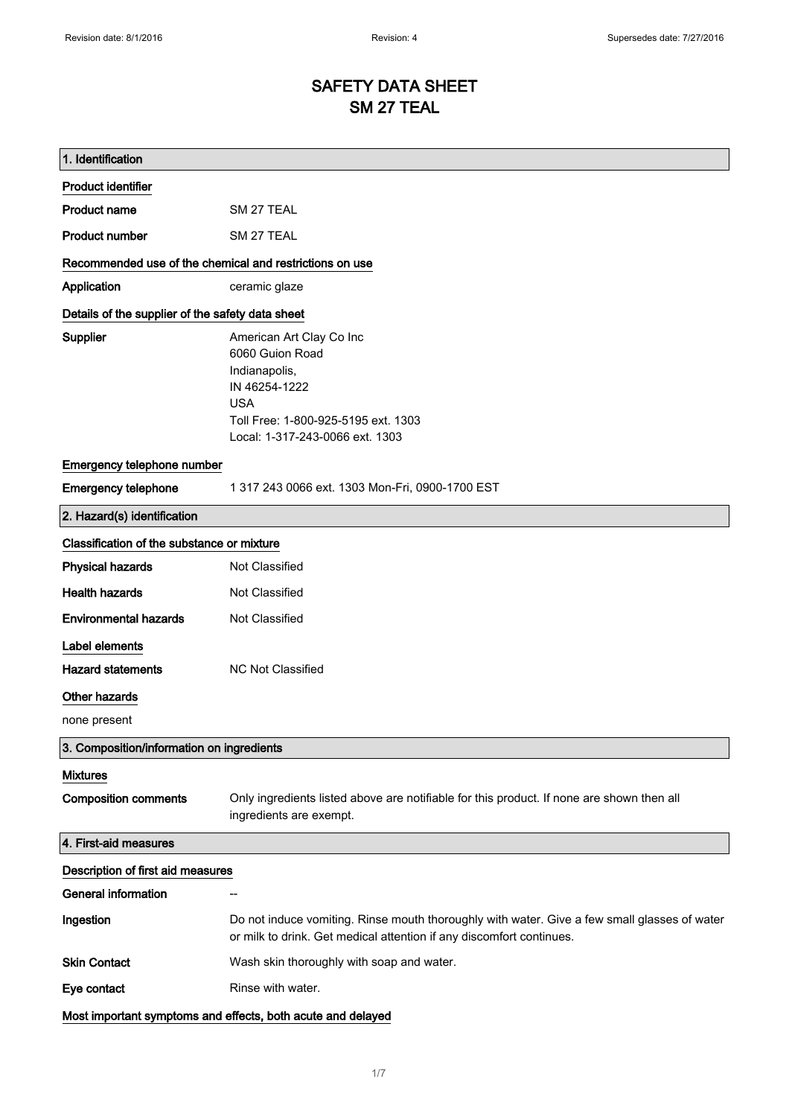# SAFETY DATA SHEET SM 27 TEAL

| 1. Identification                                       |                                                                                                                                                                       |
|---------------------------------------------------------|-----------------------------------------------------------------------------------------------------------------------------------------------------------------------|
| <b>Product identifier</b>                               |                                                                                                                                                                       |
| <b>Product name</b>                                     | SM 27 TEAL                                                                                                                                                            |
| <b>Product number</b>                                   | SM 27 TEAL                                                                                                                                                            |
| Recommended use of the chemical and restrictions on use |                                                                                                                                                                       |
| Application                                             | ceramic glaze                                                                                                                                                         |
| Details of the supplier of the safety data sheet        |                                                                                                                                                                       |
| Supplier                                                | American Art Clay Co Inc<br>6060 Guion Road<br>Indianapolis,<br>IN 46254-1222<br><b>USA</b><br>Toll Free: 1-800-925-5195 ext. 1303<br>Local: 1-317-243-0066 ext. 1303 |
| Emergency telephone number                              |                                                                                                                                                                       |
| <b>Emergency telephone</b>                              | 1 317 243 0066 ext. 1303 Mon-Fri, 0900-1700 EST                                                                                                                       |
| 2. Hazard(s) identification                             |                                                                                                                                                                       |
| Classification of the substance or mixture              |                                                                                                                                                                       |
| <b>Physical hazards</b>                                 | Not Classified                                                                                                                                                        |
| <b>Health hazards</b>                                   | Not Classified                                                                                                                                                        |
| <b>Environmental hazards</b>                            | Not Classified                                                                                                                                                        |
| Label elements                                          |                                                                                                                                                                       |
| <b>Hazard statements</b>                                | <b>NC Not Classified</b>                                                                                                                                              |
| Other hazards                                           |                                                                                                                                                                       |
| none present                                            |                                                                                                                                                                       |
| 3. Composition/information on ingredients               |                                                                                                                                                                       |
| <b>Mixtures</b>                                         |                                                                                                                                                                       |
| <b>Composition comments</b>                             | Only ingredients listed above are notifiable for this product. If none are shown then all<br>ingredients are exempt.                                                  |
| 4. First-aid measures                                   |                                                                                                                                                                       |
| Description of first aid measures                       |                                                                                                                                                                       |
| <b>General information</b>                              |                                                                                                                                                                       |
| Ingestion                                               | Do not induce vomiting. Rinse mouth thoroughly with water. Give a few small glasses of water<br>or milk to drink. Get medical attention if any discomfort continues.  |
| <b>Skin Contact</b>                                     | Wash skin thoroughly with soap and water.                                                                                                                             |
| Eye contact                                             | Rinse with water.                                                                                                                                                     |
|                                                         | Most important symptoms and effects, both acute and delayed                                                                                                           |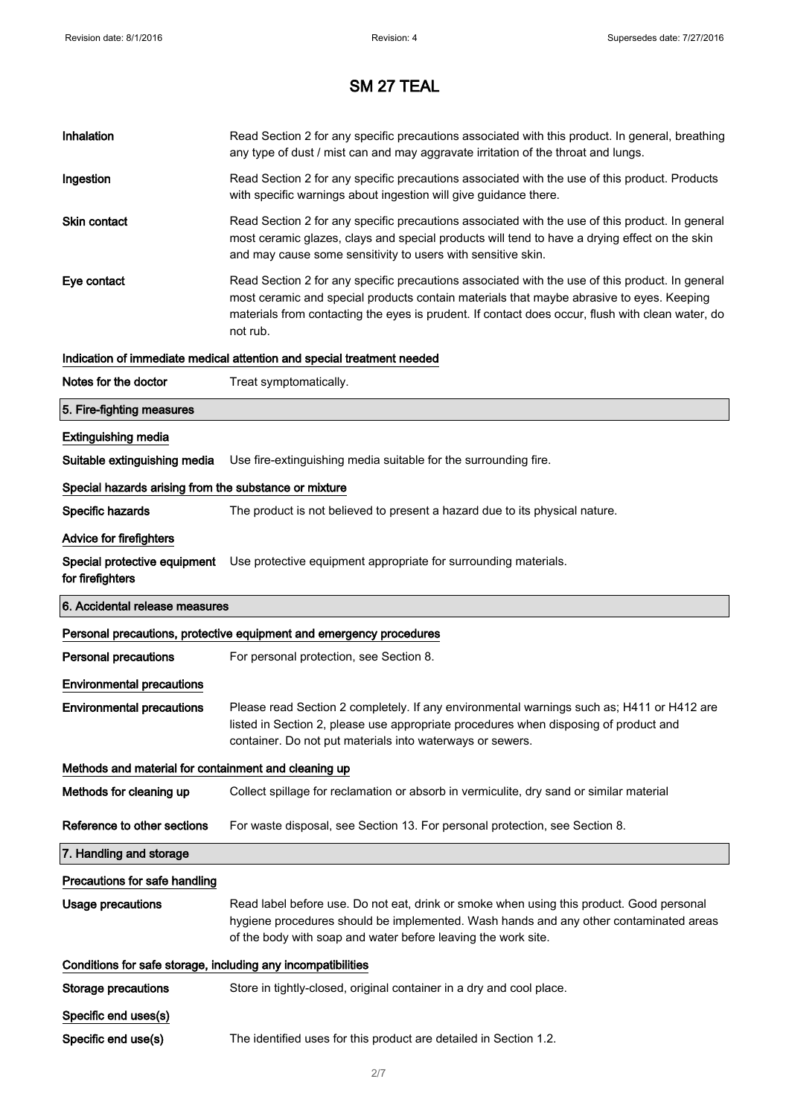| Inhalation                                                   | Read Section 2 for any specific precautions associated with this product. In general, breathing<br>any type of dust / mist can and may aggravate irritation of the throat and lungs.                                                                                                                        |
|--------------------------------------------------------------|-------------------------------------------------------------------------------------------------------------------------------------------------------------------------------------------------------------------------------------------------------------------------------------------------------------|
| Ingestion                                                    | Read Section 2 for any specific precautions associated with the use of this product. Products<br>with specific warnings about ingestion will give guidance there.                                                                                                                                           |
| <b>Skin contact</b>                                          | Read Section 2 for any specific precautions associated with the use of this product. In general<br>most ceramic glazes, clays and special products will tend to have a drying effect on the skin<br>and may cause some sensitivity to users with sensitive skin.                                            |
| Eye contact                                                  | Read Section 2 for any specific precautions associated with the use of this product. In general<br>most ceramic and special products contain materials that maybe abrasive to eyes. Keeping<br>materials from contacting the eyes is prudent. If contact does occur, flush with clean water, do<br>not rub. |
|                                                              | Indication of immediate medical attention and special treatment needed                                                                                                                                                                                                                                      |
| Notes for the doctor                                         | Treat symptomatically.                                                                                                                                                                                                                                                                                      |
| 5. Fire-fighting measures                                    |                                                                                                                                                                                                                                                                                                             |
| <b>Extinguishing media</b>                                   |                                                                                                                                                                                                                                                                                                             |
| Suitable extinguishing media                                 | Use fire-extinguishing media suitable for the surrounding fire.                                                                                                                                                                                                                                             |
| Special hazards arising from the substance or mixture        |                                                                                                                                                                                                                                                                                                             |
| Specific hazards                                             | The product is not believed to present a hazard due to its physical nature.                                                                                                                                                                                                                                 |
| Advice for firefighters                                      |                                                                                                                                                                                                                                                                                                             |
| Special protective equipment<br>for firefighters             | Use protective equipment appropriate for surrounding materials.                                                                                                                                                                                                                                             |
|                                                              |                                                                                                                                                                                                                                                                                                             |
| 6. Accidental release measures                               |                                                                                                                                                                                                                                                                                                             |
|                                                              | Personal precautions, protective equipment and emergency procedures                                                                                                                                                                                                                                         |
| <b>Personal precautions</b>                                  | For personal protection, see Section 8.                                                                                                                                                                                                                                                                     |
| <b>Environmental precautions</b>                             |                                                                                                                                                                                                                                                                                                             |
| <b>Environmental precautions</b>                             | Please read Section 2 completely. If any environmental warnings such as; H411 or H412 are<br>listed in Section 2, please use appropriate procedures when disposing of product and<br>container. Do not put materials into waterways or sewers.                                                              |
| Methods and material for containment and cleaning up         |                                                                                                                                                                                                                                                                                                             |
| Methods for cleaning up                                      | Collect spillage for reclamation or absorb in vermiculite, dry sand or similar material                                                                                                                                                                                                                     |
| Reference to other sections                                  | For waste disposal, see Section 13. For personal protection, see Section 8.                                                                                                                                                                                                                                 |
| 7. Handling and storage                                      |                                                                                                                                                                                                                                                                                                             |
| Precautions for safe handling                                |                                                                                                                                                                                                                                                                                                             |
| <b>Usage precautions</b>                                     | Read label before use. Do not eat, drink or smoke when using this product. Good personal<br>hygiene procedures should be implemented. Wash hands and any other contaminated areas<br>of the body with soap and water before leaving the work site.                                                          |
| Conditions for safe storage, including any incompatibilities |                                                                                                                                                                                                                                                                                                             |
| <b>Storage precautions</b>                                   | Store in tightly-closed, original container in a dry and cool place.                                                                                                                                                                                                                                        |
| Specific end uses(s)                                         |                                                                                                                                                                                                                                                                                                             |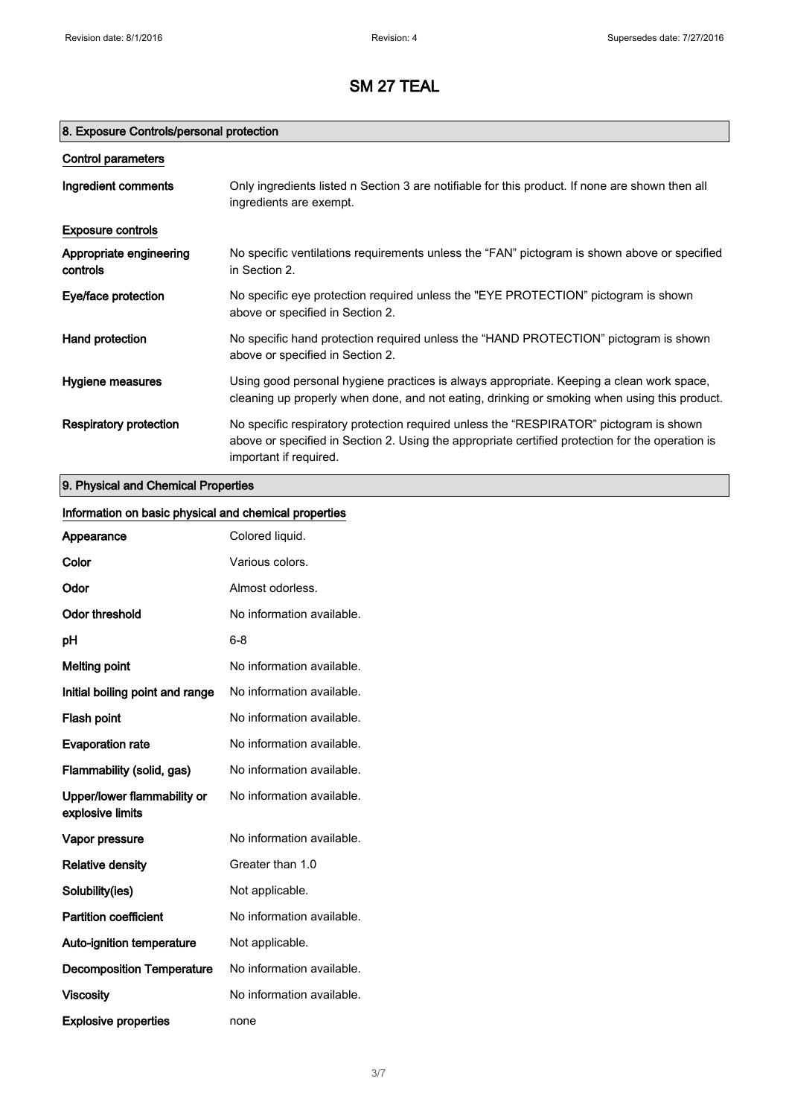## 8. Exposure Controls/personal protection

| Control parameters                  |                                                                                                                                                                                                                      |
|-------------------------------------|----------------------------------------------------------------------------------------------------------------------------------------------------------------------------------------------------------------------|
| Ingredient comments                 | Only ingredients listed n Section 3 are notifiable for this product. If none are shown then all<br>ingredients are exempt.                                                                                           |
| <b>Exposure controls</b>            |                                                                                                                                                                                                                      |
| Appropriate engineering<br>controls | No specific ventilations requirements unless the "FAN" pictogram is shown above or specified<br>in Section 2.                                                                                                        |
| Eye/face protection                 | No specific eye protection required unless the "EYE PROTECTION" pictogram is shown<br>above or specified in Section 2.                                                                                               |
| Hand protection                     | No specific hand protection required unless the "HAND PROTECTION" pictogram is shown<br>above or specified in Section 2.                                                                                             |
| Hygiene measures                    | Using good personal hygiene practices is always appropriate. Keeping a clean work space,<br>cleaning up properly when done, and not eating, drinking or smoking when using this product.                             |
| Respiratory protection              | No specific respiratory protection required unless the "RESPIRATOR" pictogram is shown<br>above or specified in Section 2. Using the appropriate certified protection for the operation is<br>important if required. |

## 9. Physical and Chemical Properties

| Information on basic physical and chemical properties |                           |
|-------------------------------------------------------|---------------------------|
| Appearance                                            | Colored liquid.           |
| Color                                                 | Various colors.           |
| Odor                                                  | Almost odorless.          |
| <b>Odor threshold</b>                                 | No information available. |
| pH                                                    | $6 - 8$                   |
| <b>Melting point</b>                                  | No information available. |
| Initial boiling point and range                       | No information available. |
| Flash point                                           | No information available. |
| <b>Evaporation rate</b>                               | No information available. |
| Flammability (solid, gas)                             | No information available. |
| Upper/lower flammability or<br>explosive limits       | No information available. |
| Vapor pressure                                        | No information available. |
| <b>Relative density</b>                               | Greater than 1.0          |
| Solubility(ies)                                       | Not applicable.           |
| <b>Partition coefficient</b>                          | No information available. |
| Auto-ignition temperature                             | Not applicable.           |
| <b>Decomposition Temperature</b>                      | No information available. |
| <b>Viscosity</b>                                      | No information available. |
| <b>Explosive properties</b>                           | none                      |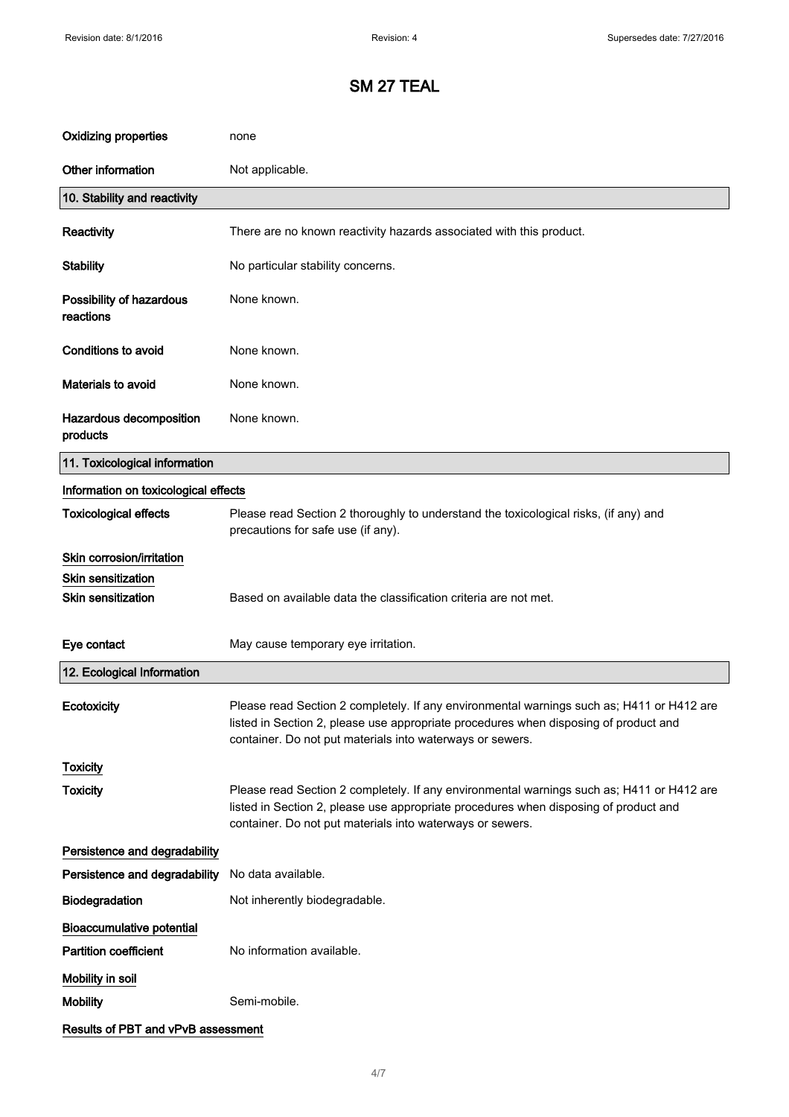| <b>Oxidizing properties</b>           | none                                                                                                                                                                                                                                           |
|---------------------------------------|------------------------------------------------------------------------------------------------------------------------------------------------------------------------------------------------------------------------------------------------|
| Other information                     | Not applicable.                                                                                                                                                                                                                                |
| 10. Stability and reactivity          |                                                                                                                                                                                                                                                |
| Reactivity                            | There are no known reactivity hazards associated with this product.                                                                                                                                                                            |
| <b>Stability</b>                      | No particular stability concerns.                                                                                                                                                                                                              |
| Possibility of hazardous<br>reactions | None known.                                                                                                                                                                                                                                    |
| Conditions to avoid                   | None known.                                                                                                                                                                                                                                    |
| Materials to avoid                    | None known.                                                                                                                                                                                                                                    |
| Hazardous decomposition<br>products   | None known.                                                                                                                                                                                                                                    |
| 11. Toxicological information         |                                                                                                                                                                                                                                                |
| Information on toxicological effects  |                                                                                                                                                                                                                                                |
| <b>Toxicological effects</b>          | Please read Section 2 thoroughly to understand the toxicological risks, (if any) and<br>precautions for safe use (if any).                                                                                                                     |
| Skin corrosion/irritation             |                                                                                                                                                                                                                                                |
| <b>Skin sensitization</b>             |                                                                                                                                                                                                                                                |
| <b>Skin sensitization</b>             | Based on available data the classification criteria are not met.                                                                                                                                                                               |
| Eye contact                           | May cause temporary eye irritation.                                                                                                                                                                                                            |
| 12. Ecological Information            |                                                                                                                                                                                                                                                |
| Ecotoxicity                           | Please read Section 2 completely. If any environmental warnings such as; H411 or H412 are<br>listed in Section 2, please use appropriate procedures when disposing of product and<br>container. Do not put materials into waterways or sewers. |
| <b>Toxicity</b>                       |                                                                                                                                                                                                                                                |
| <b>Toxicity</b>                       | Please read Section 2 completely. If any environmental warnings such as; H411 or H412 are<br>listed in Section 2, please use appropriate procedures when disposing of product and<br>container. Do not put materials into waterways or sewers. |
| Persistence and degradability         |                                                                                                                                                                                                                                                |
| Persistence and degradability         | No data available.                                                                                                                                                                                                                             |
| Biodegradation                        | Not inherently biodegradable.                                                                                                                                                                                                                  |
| <b>Bioaccumulative potential</b>      |                                                                                                                                                                                                                                                |
| <b>Partition coefficient</b>          | No information available.                                                                                                                                                                                                                      |
| Mobility in soil                      |                                                                                                                                                                                                                                                |
| <b>Mobility</b>                       | Semi-mobile.                                                                                                                                                                                                                                   |
| Results of PBT and vPvB assessment    |                                                                                                                                                                                                                                                |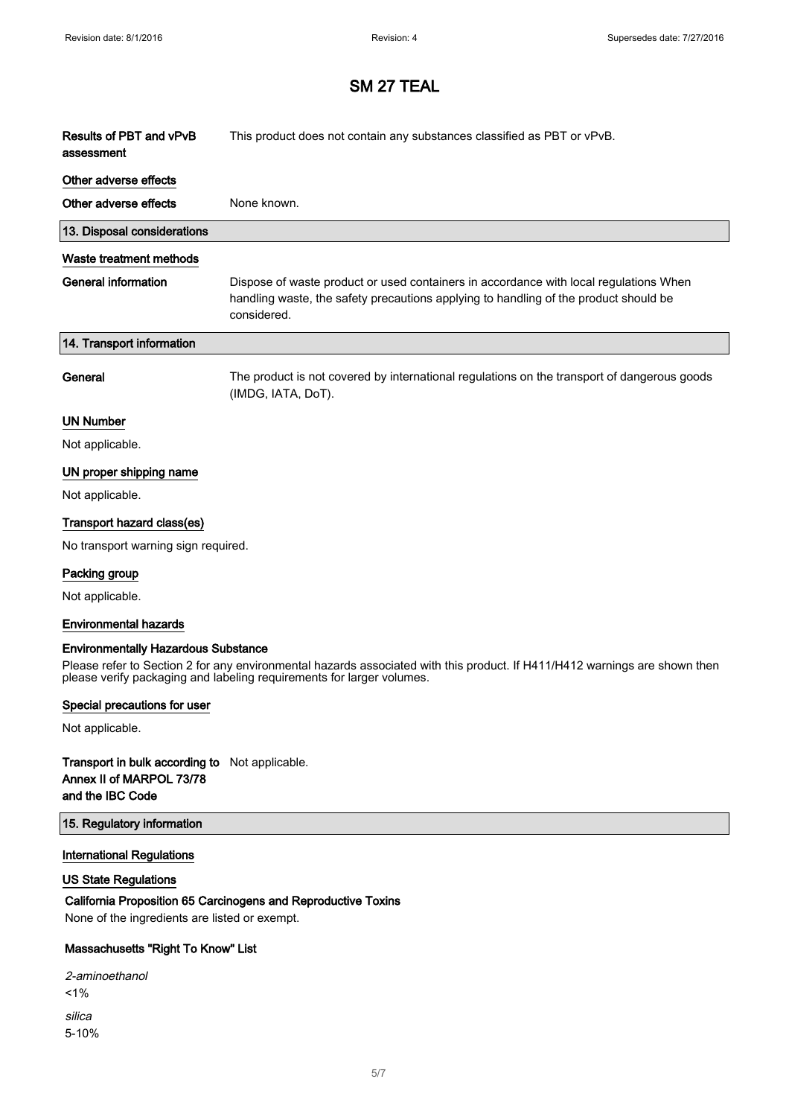| Results of PBT and vPvB<br>assessment | This product does not contain any substances classified as PBT or vPvB.                                                                                                                      |
|---------------------------------------|----------------------------------------------------------------------------------------------------------------------------------------------------------------------------------------------|
| Other adverse effects                 |                                                                                                                                                                                              |
| Other adverse effects                 | None known.                                                                                                                                                                                  |
| 13. Disposal considerations           |                                                                                                                                                                                              |
| Waste treatment methods               |                                                                                                                                                                                              |
| <b>General information</b>            | Dispose of waste product or used containers in accordance with local regulations When<br>handling waste, the safety precautions applying to handling of the product should be<br>considered. |
| 14. Transport information             |                                                                                                                                                                                              |
| General                               | The product is not covered by international regulations on the transport of dangerous goods<br>(IMDG, IATA, DoT).                                                                            |
| <b>UN Number</b>                      |                                                                                                                                                                                              |
| Not applicable.                       |                                                                                                                                                                                              |
| UN proper shipping name               |                                                                                                                                                                                              |
| Not applicable.                       |                                                                                                                                                                                              |
| Transport hazard class(es)            |                                                                                                                                                                                              |
| No transport warning sign required.   |                                                                                                                                                                                              |
| Packing group                         |                                                                                                                                                                                              |
| Not applicable.                       |                                                                                                                                                                                              |
| <b>Environmental hazards</b>          |                                                                                                                                                                                              |

#### Environmentally Hazardous Substance

Please refer to Section 2 for any environmental hazards associated with this product. If H411/H412 warnings are shown then please verify packaging and labeling requirements for larger volumes.

#### Special precautions for user

Not applicable.

#### Transport in bulk according to Not applicable. Annex II of MARPOL 73/78 and the IBC Code

#### 15. Regulatory information

#### International Regulations

### US State Regulations

## California Proposition 65 Carcinogens and Reproductive Toxins

None of the ingredients are listed or exempt.

#### Massachusetts "Right To Know" List

| 2-aminoethanol |
|----------------|
| $1\%$          |
| silica         |
| $5 - 10%$      |
|                |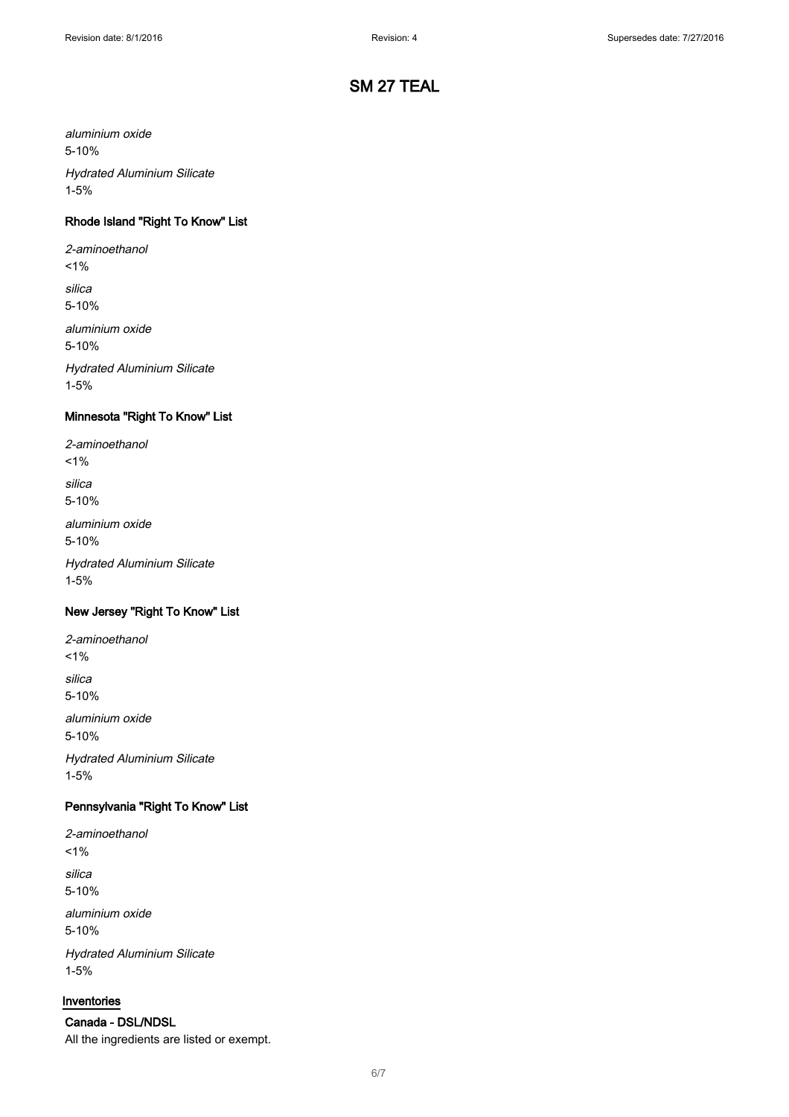aluminium oxide 5-10%

Hydrated Aluminium Silicate 1-5%

## Rhode Island "Right To Know" List

2-aminoethanol  $1%$ 

silica

5-10%

aluminium oxide 5-10%

Hydrated Aluminium Silicate 1-5%

### Minnesota "Right To Know" List

2-aminoethanol

 $1%$ silica

5-10%

aluminium oxide 5-10%

Hydrated Aluminium Silicate 1-5%

### New Jersey "Right To Know" List

2-aminoethanol  $1%$ silica 5-10% aluminium oxide 5-10% Hydrated Aluminium Silicate

1-5%

## Pennsylvania "Right To Know" List

2-aminoethanol  $1%$ silica 5-10% aluminium oxide

5-10% Hydrated Aluminium Silicate 1-5%

#### Inventories

Canada - DSL/NDSL All the ingredients are listed or exempt.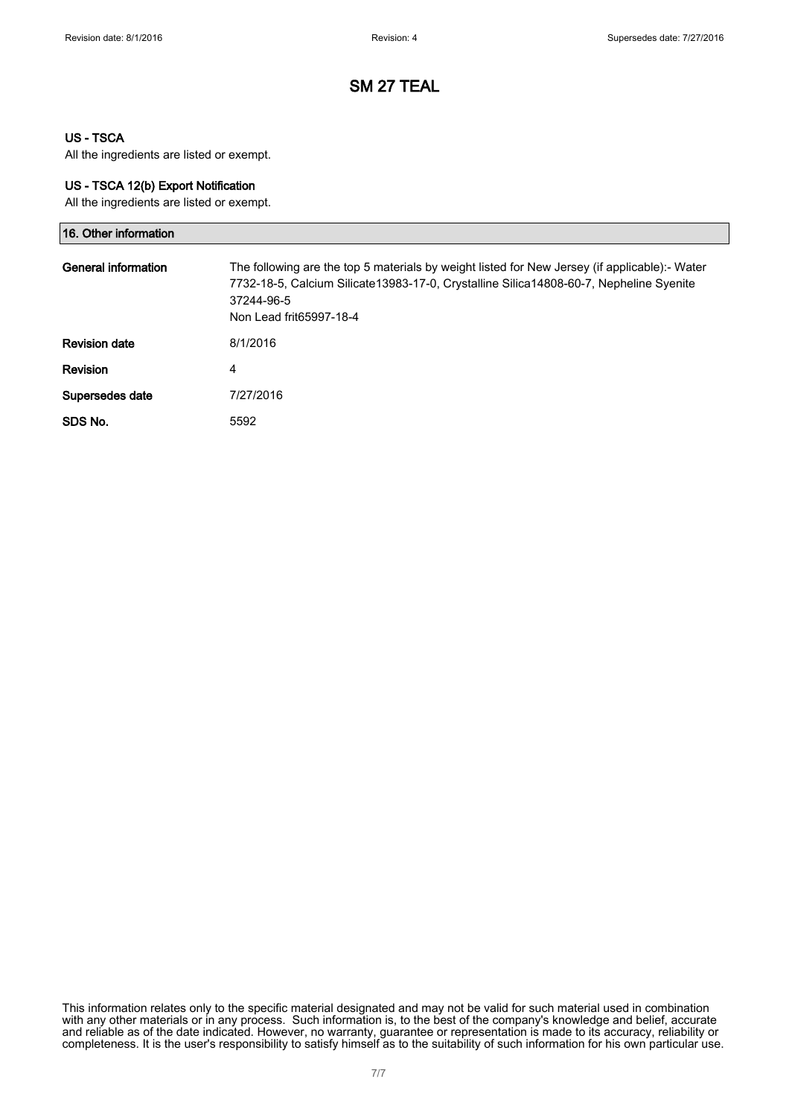#### US - TSCA

All the ingredients are listed or exempt.

#### US - TSCA 12(b) Export Notification

All the ingredients are listed or exempt.

| 16. Other information |                                                                                                                                                                                                                                  |
|-----------------------|----------------------------------------------------------------------------------------------------------------------------------------------------------------------------------------------------------------------------------|
| General information   | The following are the top 5 materials by weight listed for New Jersey (if applicable):- Water<br>7732-18-5, Calcium Silicate13983-17-0, Crystalline Silica14808-60-7, Nepheline Syenite<br>37244-96-5<br>Non Lead frit65997-18-4 |
| <b>Revision date</b>  | 8/1/2016                                                                                                                                                                                                                         |
| <b>Revision</b>       | 4                                                                                                                                                                                                                                |
| Supersedes date       | 7/27/2016                                                                                                                                                                                                                        |
| SDS No.               | 5592                                                                                                                                                                                                                             |

This information relates only to the specific material designated and may not be valid for such material used in combination with any other materials or in any process. Such information is, to the best of the company's knowledge and belief, accurate and reliable as of the date indicated. However, no warranty, guarantee or representation is made to its accuracy, reliability or completeness. It is the user's responsibility to satisfy himself as to the suitability of such information for his own particular use.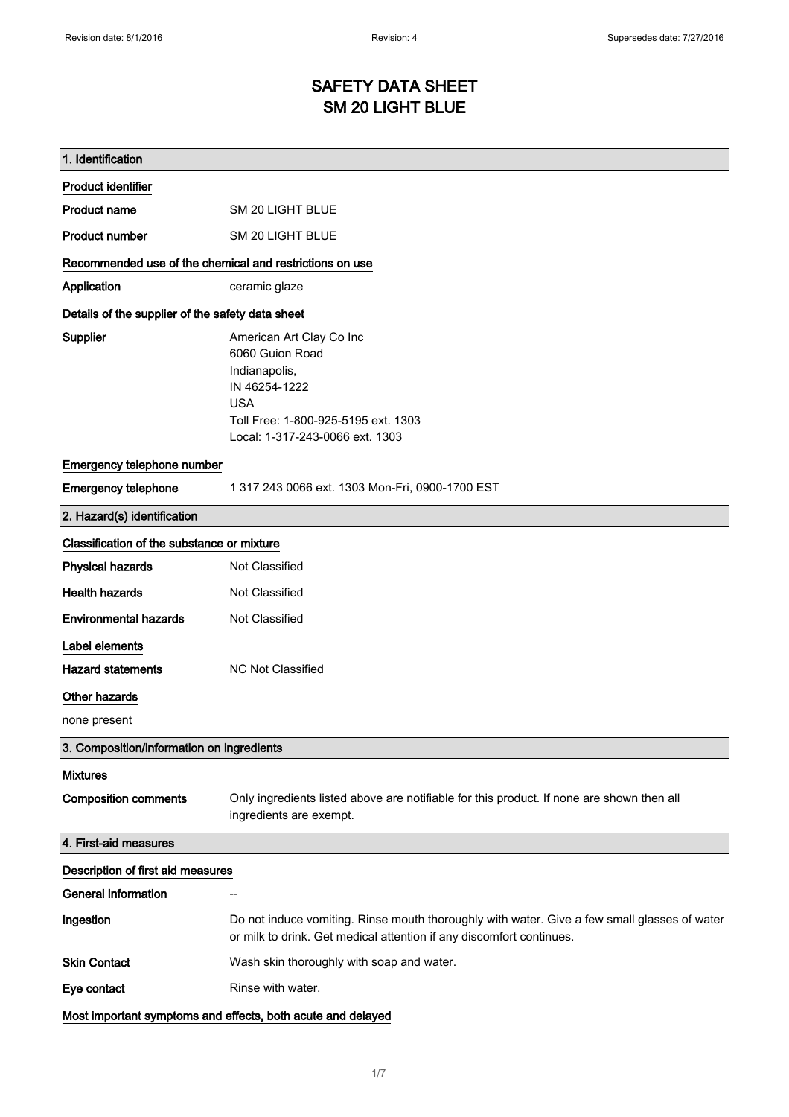# SAFETY DATA SHEET SM 20 LIGHT BLUE

| 1. Identification                                       |                                                                                                                                                                       |
|---------------------------------------------------------|-----------------------------------------------------------------------------------------------------------------------------------------------------------------------|
| <b>Product identifier</b>                               |                                                                                                                                                                       |
| Product name                                            | SM 20 LIGHT BLUE                                                                                                                                                      |
| <b>Product number</b>                                   | <b>SM 20 LIGHT BLUE</b>                                                                                                                                               |
| Recommended use of the chemical and restrictions on use |                                                                                                                                                                       |
| Application                                             | ceramic glaze                                                                                                                                                         |
| Details of the supplier of the safety data sheet        |                                                                                                                                                                       |
| <b>Supplier</b>                                         | American Art Clay Co Inc<br>6060 Guion Road<br>Indianapolis,<br>IN 46254-1222<br><b>USA</b><br>Toll Free: 1-800-925-5195 ext. 1303<br>Local: 1-317-243-0066 ext. 1303 |
| Emergency telephone number                              |                                                                                                                                                                       |
| <b>Emergency telephone</b>                              | 1 317 243 0066 ext. 1303 Mon-Fri, 0900-1700 EST                                                                                                                       |
| 2. Hazard(s) identification                             |                                                                                                                                                                       |
| Classification of the substance or mixture              |                                                                                                                                                                       |
| <b>Physical hazards</b>                                 | Not Classified                                                                                                                                                        |
| <b>Health hazards</b>                                   | Not Classified                                                                                                                                                        |
| <b>Environmental hazards</b>                            | Not Classified                                                                                                                                                        |
| Label elements                                          |                                                                                                                                                                       |
| <b>Hazard statements</b>                                | <b>NC Not Classified</b>                                                                                                                                              |
| Other hazards                                           |                                                                                                                                                                       |
| none present                                            |                                                                                                                                                                       |
| 3. Composition/information on ingredients               |                                                                                                                                                                       |
| <b>Mixtures</b>                                         |                                                                                                                                                                       |
| <b>Composition comments</b>                             | Only ingredients listed above are notifiable for this product. If none are shown then all<br>ingredients are exempt.                                                  |
| 4. First-aid measures                                   |                                                                                                                                                                       |
| Description of first aid measures                       |                                                                                                                                                                       |
| <b>General information</b>                              |                                                                                                                                                                       |
| Ingestion                                               | Do not induce vomiting. Rinse mouth thoroughly with water. Give a few small glasses of water<br>or milk to drink. Get medical attention if any discomfort continues.  |
| <b>Skin Contact</b>                                     | Wash skin thoroughly with soap and water.                                                                                                                             |
| Eye contact                                             | Rinse with water.                                                                                                                                                     |
|                                                         | Most important symptoms and effects, both acute and delayed                                                                                                           |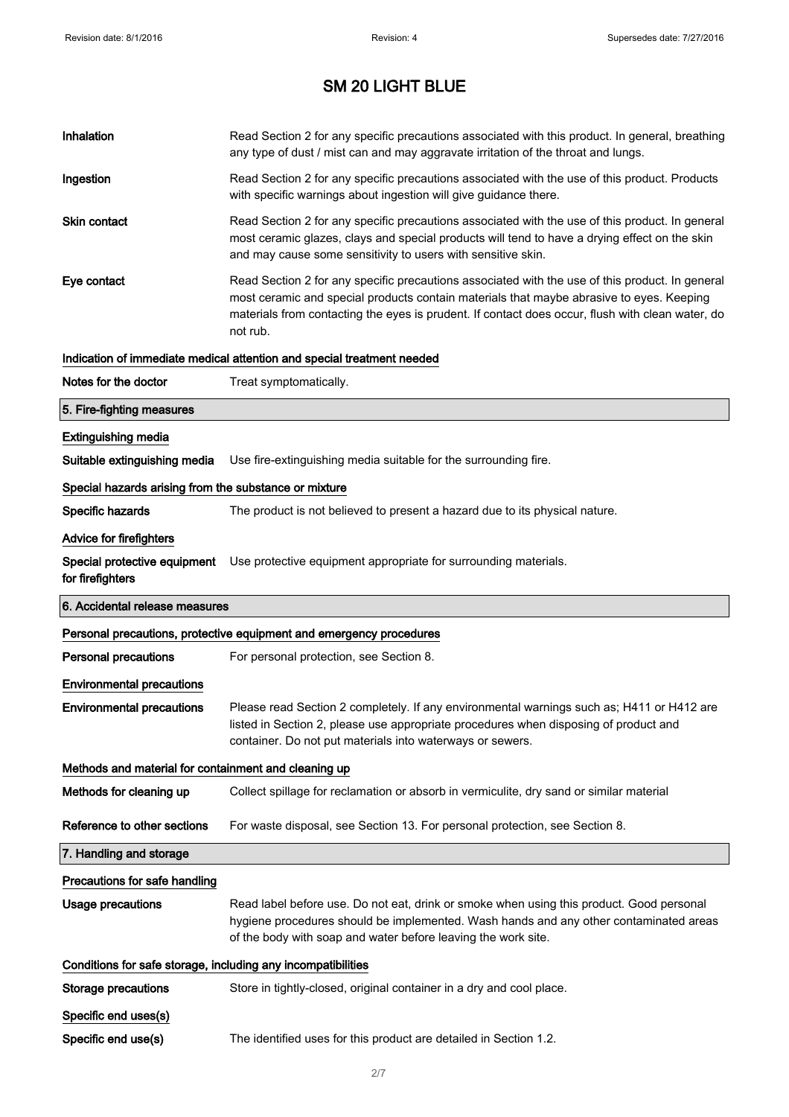| Inhalation                                                   | Read Section 2 for any specific precautions associated with this product. In general, breathing<br>any type of dust / mist can and may aggravate irritation of the throat and lungs.                                                                                                                        |
|--------------------------------------------------------------|-------------------------------------------------------------------------------------------------------------------------------------------------------------------------------------------------------------------------------------------------------------------------------------------------------------|
| Ingestion                                                    | Read Section 2 for any specific precautions associated with the use of this product. Products<br>with specific warnings about ingestion will give guidance there.                                                                                                                                           |
| <b>Skin contact</b>                                          | Read Section 2 for any specific precautions associated with the use of this product. In general<br>most ceramic glazes, clays and special products will tend to have a drying effect on the skin<br>and may cause some sensitivity to users with sensitive skin.                                            |
| Eye contact                                                  | Read Section 2 for any specific precautions associated with the use of this product. In general<br>most ceramic and special products contain materials that maybe abrasive to eyes. Keeping<br>materials from contacting the eyes is prudent. If contact does occur, flush with clean water, do<br>not rub. |
|                                                              | Indication of immediate medical attention and special treatment needed                                                                                                                                                                                                                                      |
| Notes for the doctor                                         | Treat symptomatically.                                                                                                                                                                                                                                                                                      |
| 5. Fire-fighting measures                                    |                                                                                                                                                                                                                                                                                                             |
| <b>Extinguishing media</b>                                   |                                                                                                                                                                                                                                                                                                             |
| Suitable extinguishing media                                 | Use fire-extinguishing media suitable for the surrounding fire.                                                                                                                                                                                                                                             |
| Special hazards arising from the substance or mixture        |                                                                                                                                                                                                                                                                                                             |
| Specific hazards                                             | The product is not believed to present a hazard due to its physical nature.                                                                                                                                                                                                                                 |
| Advice for firefighters                                      |                                                                                                                                                                                                                                                                                                             |
| for firefighters                                             | Special protective equipment Use protective equipment appropriate for surrounding materials.                                                                                                                                                                                                                |
|                                                              |                                                                                                                                                                                                                                                                                                             |
| 6. Accidental release measures                               |                                                                                                                                                                                                                                                                                                             |
|                                                              | Personal precautions, protective equipment and emergency procedures                                                                                                                                                                                                                                         |
| <b>Personal precautions</b>                                  | For personal protection, see Section 8.                                                                                                                                                                                                                                                                     |
| <b>Environmental precautions</b>                             |                                                                                                                                                                                                                                                                                                             |
| <b>Environmental precautions</b>                             | Please read Section 2 completely. If any environmental warnings such as; H411 or H412 are<br>listed in Section 2, please use appropriate procedures when disposing of product and<br>container. Do not put materials into waterways or sewers.                                                              |
| Methods and material for containment and cleaning up         |                                                                                                                                                                                                                                                                                                             |
| Methods for cleaning up                                      | Collect spillage for reclamation or absorb in vermiculite, dry sand or similar material                                                                                                                                                                                                                     |
| Reference to other sections                                  | For waste disposal, see Section 13. For personal protection, see Section 8.                                                                                                                                                                                                                                 |
| 7. Handling and storage                                      |                                                                                                                                                                                                                                                                                                             |
| Precautions for safe handling                                |                                                                                                                                                                                                                                                                                                             |
| <b>Usage precautions</b>                                     | Read label before use. Do not eat, drink or smoke when using this product. Good personal<br>hygiene procedures should be implemented. Wash hands and any other contaminated areas<br>of the body with soap and water before leaving the work site.                                                          |
| Conditions for safe storage, including any incompatibilities |                                                                                                                                                                                                                                                                                                             |
| <b>Storage precautions</b>                                   | Store in tightly-closed, original container in a dry and cool place.                                                                                                                                                                                                                                        |
| Specific end uses(s)                                         |                                                                                                                                                                                                                                                                                                             |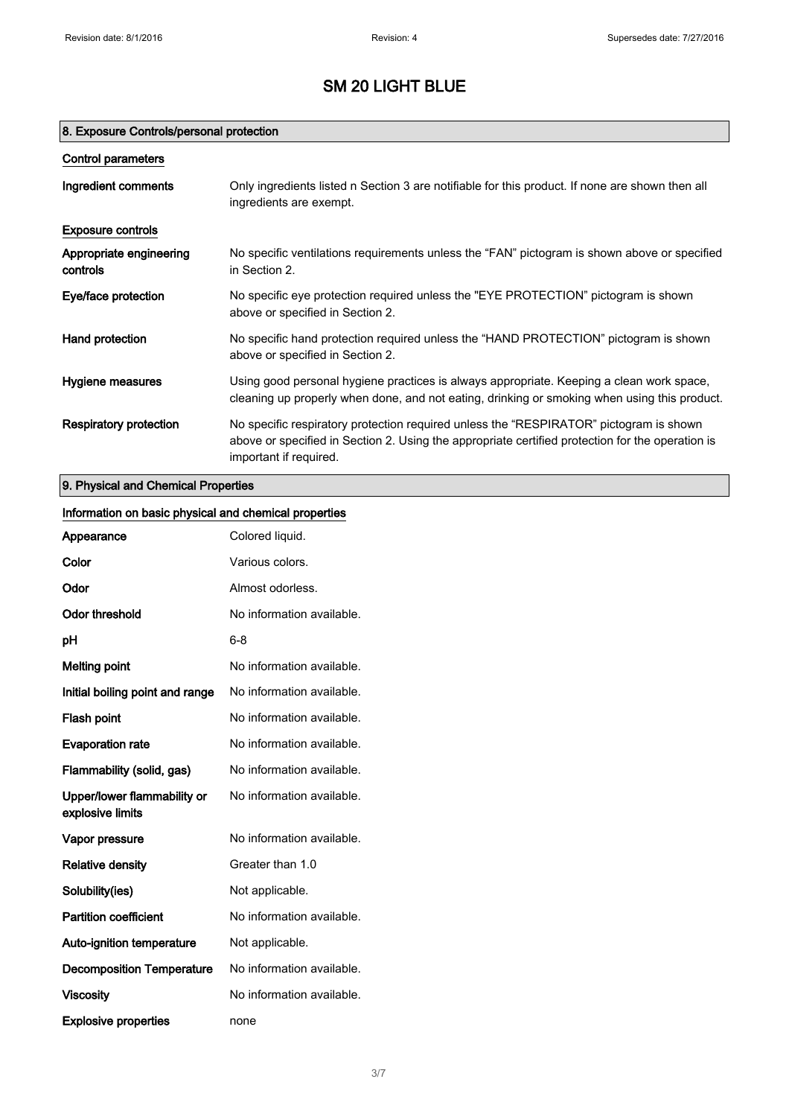## 8. Exposure Controls/personal protection

| Control parameters                  |                                                                                                                                                                                                                      |
|-------------------------------------|----------------------------------------------------------------------------------------------------------------------------------------------------------------------------------------------------------------------|
| Ingredient comments                 | Only ingredients listed n Section 3 are notifiable for this product. If none are shown then all<br>ingredients are exempt.                                                                                           |
| <b>Exposure controls</b>            |                                                                                                                                                                                                                      |
| Appropriate engineering<br>controls | No specific ventilations requirements unless the "FAN" pictogram is shown above or specified<br>in Section 2.                                                                                                        |
| Eye/face protection                 | No specific eye protection required unless the "EYE PROTECTION" pictogram is shown<br>above or specified in Section 2.                                                                                               |
| Hand protection                     | No specific hand protection required unless the "HAND PROTECTION" pictogram is shown<br>above or specified in Section 2.                                                                                             |
| Hygiene measures                    | Using good personal hygiene practices is always appropriate. Keeping a clean work space,<br>cleaning up properly when done, and not eating, drinking or smoking when using this product.                             |
| Respiratory protection              | No specific respiratory protection required unless the "RESPIRATOR" pictogram is shown<br>above or specified in Section 2. Using the appropriate certified protection for the operation is<br>important if required. |

# 9. Physical and Chemical Properties

| Information on basic physical and chemical properties |                           |
|-------------------------------------------------------|---------------------------|
| Appearance                                            | Colored liquid.           |
| Color                                                 | Various colors.           |
| Odor                                                  | Almost odorless.          |
| <b>Odor threshold</b>                                 | No information available. |
| pH                                                    | $6 - 8$                   |
| <b>Melting point</b>                                  | No information available. |
| Initial boiling point and range                       | No information available. |
| Flash point                                           | No information available. |
| <b>Evaporation rate</b>                               | No information available. |
| Flammability (solid, gas)                             | No information available. |
| Upper/lower flammability or<br>explosive limits       | No information available. |
| Vapor pressure                                        | No information available. |
| <b>Relative density</b>                               | Greater than 1.0          |
| Solubility(ies)                                       | Not applicable.           |
| <b>Partition coefficient</b>                          | No information available. |
| Auto-ignition temperature                             | Not applicable.           |
| <b>Decomposition Temperature</b>                      | No information available. |
| <b>Viscosity</b>                                      | No information available. |
| <b>Explosive properties</b>                           | none                      |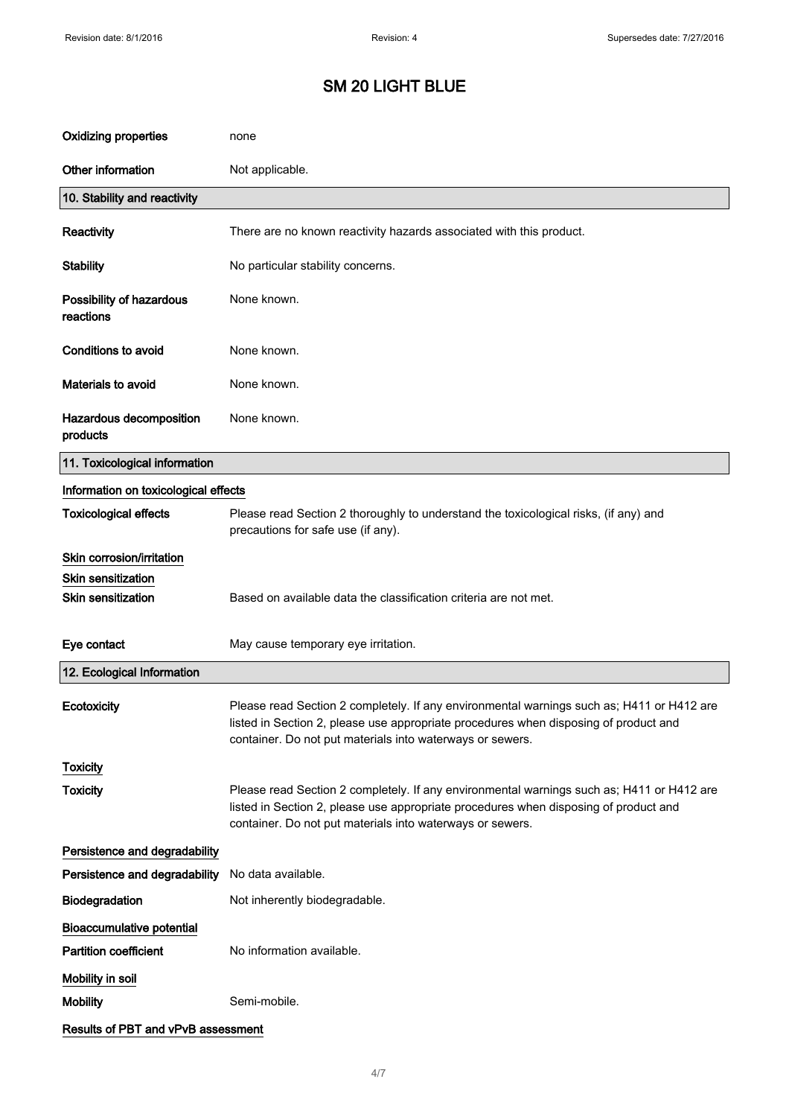| <b>Oxidizing properties</b>           | none                                                                                                                                                                                                                                           |
|---------------------------------------|------------------------------------------------------------------------------------------------------------------------------------------------------------------------------------------------------------------------------------------------|
| Other information                     | Not applicable.                                                                                                                                                                                                                                |
| 10. Stability and reactivity          |                                                                                                                                                                                                                                                |
| Reactivity                            | There are no known reactivity hazards associated with this product.                                                                                                                                                                            |
| <b>Stability</b>                      | No particular stability concerns.                                                                                                                                                                                                              |
| Possibility of hazardous<br>reactions | None known.                                                                                                                                                                                                                                    |
| <b>Conditions to avoid</b>            | None known.                                                                                                                                                                                                                                    |
| Materials to avoid                    | None known.                                                                                                                                                                                                                                    |
| Hazardous decomposition<br>products   | None known.                                                                                                                                                                                                                                    |
| 11. Toxicological information         |                                                                                                                                                                                                                                                |
| Information on toxicological effects  |                                                                                                                                                                                                                                                |
| <b>Toxicological effects</b>          | Please read Section 2 thoroughly to understand the toxicological risks, (if any) and<br>precautions for safe use (if any).                                                                                                                     |
| Skin corrosion/irritation             |                                                                                                                                                                                                                                                |
| <b>Skin sensitization</b>             |                                                                                                                                                                                                                                                |
| Skin sensitization                    | Based on available data the classification criteria are not met.                                                                                                                                                                               |
| Eye contact                           | May cause temporary eye irritation.                                                                                                                                                                                                            |
| 12. Ecological Information            |                                                                                                                                                                                                                                                |
| Ecotoxicity                           | Please read Section 2 completely. If any environmental warnings such as; H411 or H412 are<br>listed in Section 2, please use appropriate procedures when disposing of product and<br>container. Do not put materials into waterways or sewers. |
| <b>Toxicity</b>                       |                                                                                                                                                                                                                                                |
| <b>Toxicity</b>                       | Please read Section 2 completely. If any environmental warnings such as; H411 or H412 are<br>listed in Section 2, please use appropriate procedures when disposing of product and<br>container. Do not put materials into waterways or sewers. |
| Persistence and degradability         |                                                                                                                                                                                                                                                |
| Persistence and degradability         | No data available.                                                                                                                                                                                                                             |
| Biodegradation                        | Not inherently biodegradable.                                                                                                                                                                                                                  |
| <b>Bioaccumulative potential</b>      |                                                                                                                                                                                                                                                |
| <b>Partition coefficient</b>          | No information available.                                                                                                                                                                                                                      |
| Mobility in soil                      |                                                                                                                                                                                                                                                |
| <b>Mobility</b>                       | Semi-mobile.                                                                                                                                                                                                                                   |
| Results of PBT and vPvB assessment    |                                                                                                                                                                                                                                                |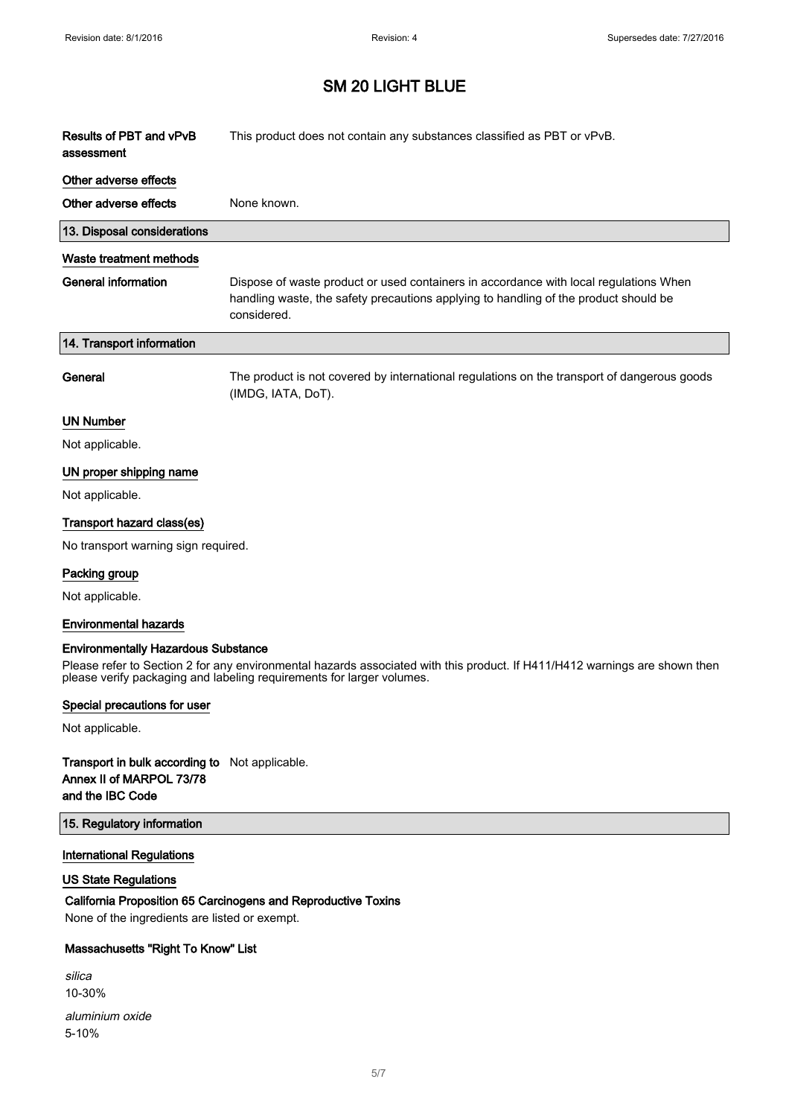$\sqrt{2}$ 

 $\Bigg]$ 

# SM 20 LIGHT BLUE

| Results of PBT and vPvB<br>assessment      | This product does not contain any substances classified as PBT or vPvB.                                                                                                                             |
|--------------------------------------------|-----------------------------------------------------------------------------------------------------------------------------------------------------------------------------------------------------|
| Other adverse effects                      |                                                                                                                                                                                                     |
| Other adverse effects                      | None known.                                                                                                                                                                                         |
| 13. Disposal considerations                |                                                                                                                                                                                                     |
| Waste treatment methods                    |                                                                                                                                                                                                     |
| <b>General information</b>                 | Dispose of waste product or used containers in accordance with local regulations When<br>handling waste, the safety precautions applying to handling of the product should be<br>considered.        |
| 14. Transport information                  |                                                                                                                                                                                                     |
| General                                    | The product is not covered by international regulations on the transport of dangerous goods<br>(IMDG, IATA, DoT).                                                                                   |
| UN Number                                  |                                                                                                                                                                                                     |
| Not applicable.                            |                                                                                                                                                                                                     |
| UN proper shipping name                    |                                                                                                                                                                                                     |
| Not applicable.                            |                                                                                                                                                                                                     |
| Transport hazard class(es)                 |                                                                                                                                                                                                     |
| No transport warning sign required.        |                                                                                                                                                                                                     |
| Packing group                              |                                                                                                                                                                                                     |
| Not applicable.                            |                                                                                                                                                                                                     |
| <b>Environmental hazards</b>               |                                                                                                                                                                                                     |
|                                            |                                                                                                                                                                                                     |
| <b>Environmentally Hazardous Substance</b> | Please refer to Section 2 for any environmental hazards associated with this product. If H411/H412 warnings are shown then<br>please verify packaging and labeling requirements for larger volumes. |

### Special precautions for user

Not applicable.

### Transport in bulk according to Not applicable. Annex II of MARPOL 73/78 and the IBC Code

#### 15. Regulatory information

### International Regulations

### US State Regulations

# California Proposition 65 Carcinogens and Reproductive Toxins

None of the ingredients are listed or exempt.

## Massachusetts "Right To Know" List

| silica          |
|-----------------|
| $10 - 30%$      |
| aluminium oxide |
| $5 - 10%$       |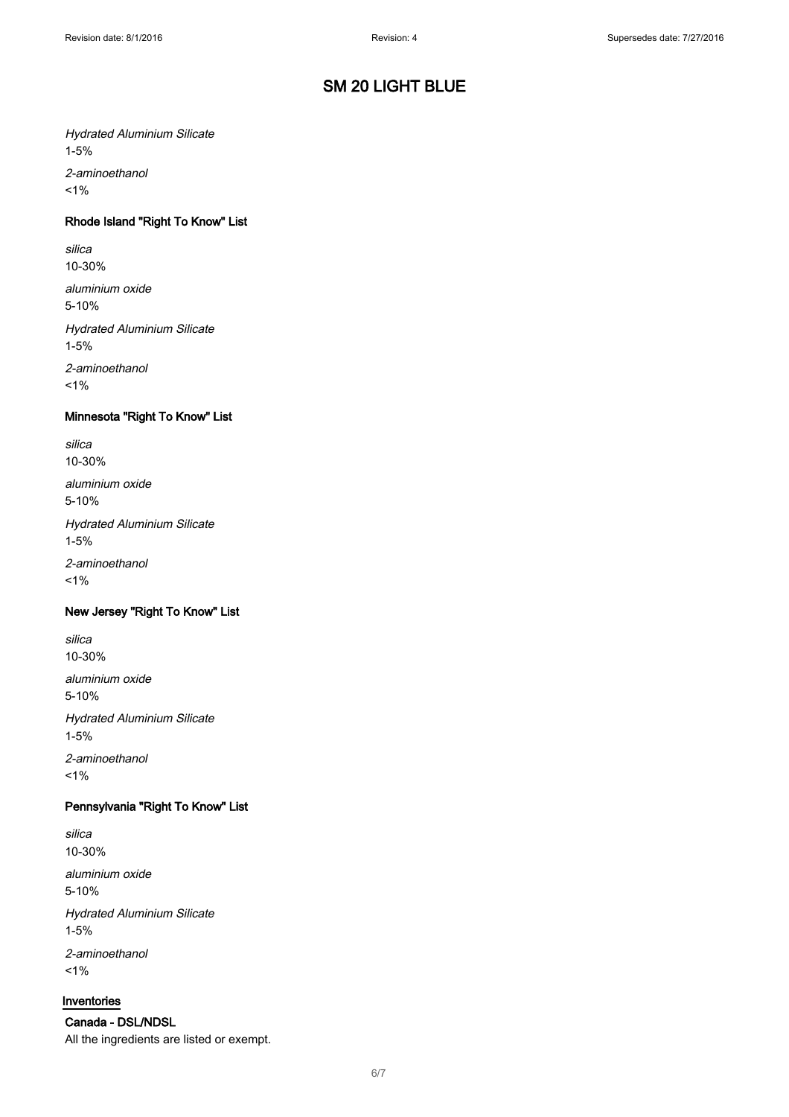### Hydrated Aluminium Silicate 1-5%

2-aminoethanol  $1%$ 

## Rhode Island "Right To Know" List

silica 10-30%

aluminium oxide 5-10%

Hydrated Aluminium Silicate 1-5%

2-aminoethanol  $1%$ 

### Minnesota "Right To Know" List

silica 10-30% aluminium oxide 5-10% Hydrated Aluminium Silicate 1-5% 2-aminoethanol

 $1%$ 

#### New Jersey "Right To Know" List

silica 10-30%

aluminium oxide 5-10% Hydrated Aluminium Silicate 1-5% 2-aminoethanol  $1%$ 

### Pennsylvania "Right To Know" List

silica 10-30%

aluminium oxide 5-10%

Hydrated Aluminium Silicate 1-5% 2-aminoethanol

 $1%$ 

#### Inventories

Canada - DSL/NDSL All the ingredients are listed or exempt.